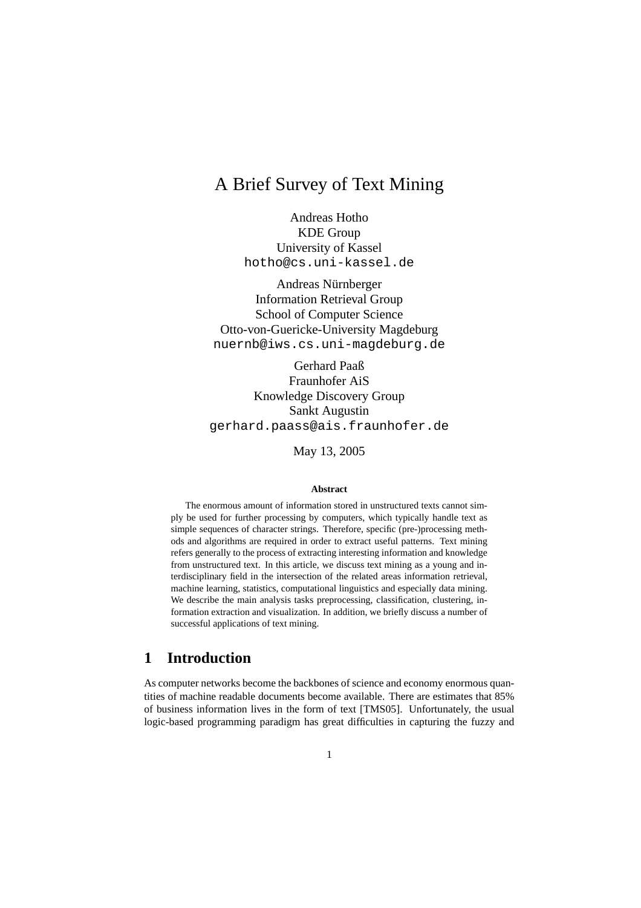# A Brief Survey of Text Mining

Andreas Hotho KDE Group University of Kassel hotho@cs.uni-kassel.de

Andreas Nurnberger ¨ Information Retrieval Group School of Computer Science Otto-von-Guericke-University Magdeburg nuernb@iws.cs.uni-magdeburg.de

Gerhard Paaß Fraunhofer AiS Knowledge Discovery Group Sankt Augustin gerhard.paass@ais.fraunhofer.de

May 13, 2005

## **Abstract**

The enormous amount of information stored in unstructured texts cannot simply be used for further processing by computers, which typically handle text as simple sequences of character strings. Therefore, specific (pre-)processing methods and algorithms are required in order to extract useful patterns. Text mining refers generally to the process of extracting interesting information and knowledge from unstructured text. In this article, we discuss text mining as a young and interdisciplinary field in the intersection of the related areas information retrieval, machine learning, statistics, computational linguistics and especially data mining. We describe the main analysis tasks preprocessing, classification, clustering, information extraction and visualization. In addition, we briefly discuss a number of successful applications of text mining.

## **1 Introduction**

As computer networks become the backbones of science and economy enormous quantities of machine readable documents become available. There are estimates that 85% of business information lives in the form of text [TMS05]. Unfortunately, the usual logic-based programming paradigm has great difficulties in capturing the fuzzy and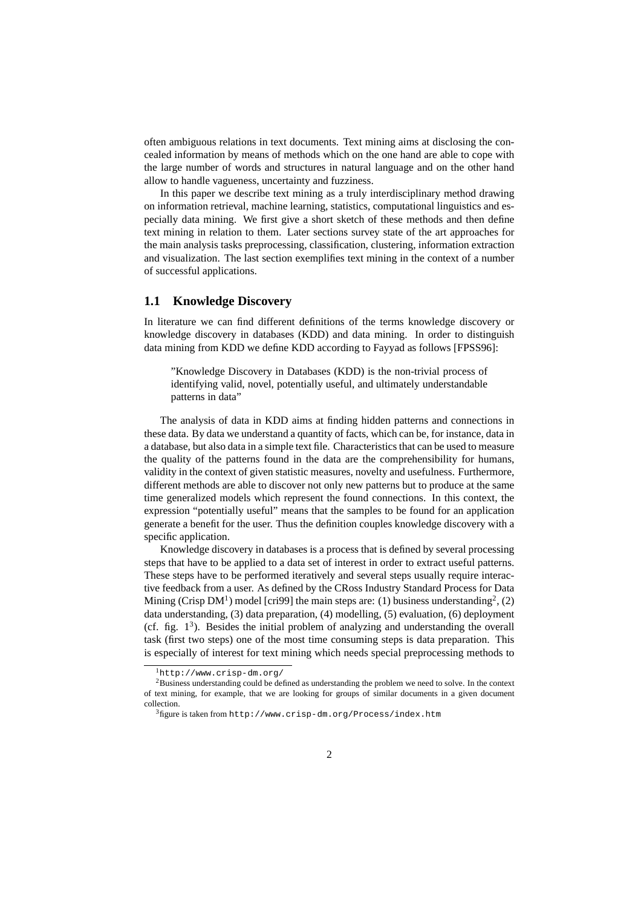often ambiguous relations in text documents. Text mining aims at disclosing the concealed information by means of methods which on the one hand are able to cope with the large number of words and structures in natural language and on the other hand allow to handle vagueness, uncertainty and fuzziness.

In this paper we describe text mining as a truly interdisciplinary method drawing on information retrieval, machine learning, statistics, computational linguistics and especially data mining. We first give a short sketch of these methods and then define text mining in relation to them. Later sections survey state of the art approaches for the main analysis tasks preprocessing, classification, clustering, information extraction and visualization. The last section exemplifies text mining in the context of a number of successful applications.

## **1.1 Knowledge Discovery**

In literature we can find different definitions of the terms knowledge discovery or knowledge discovery in databases (KDD) and data mining. In order to distinguish data mining from KDD we define KDD according to Fayyad as follows [FPSS96]:

"Knowledge Discovery in Databases (KDD) is the non-trivial process of identifying valid, novel, potentially useful, and ultimately understandable patterns in data"

The analysis of data in KDD aims at finding hidden patterns and connections in these data. By data we understand a quantity of facts, which can be, for instance, data in a database, but also data in a simple text file. Characteristics that can be used to measure the quality of the patterns found in the data are the comprehensibility for humans, validity in the context of given statistic measures, novelty and usefulness. Furthermore, different methods are able to discover not only new patterns but to produce at the same time generalized models which represent the found connections. In this context, the expression "potentially useful" means that the samples to be found for an application generate a benefit for the user. Thus the definition couples knowledge discovery with a specific application.

Knowledge discovery in databases is a process that is defined by several processing steps that have to be applied to a data set of interest in order to extract useful patterns. These steps have to be performed iteratively and several steps usually require interactive feedback from a user. As defined by the CRoss Industry Standard Process for Data Mining (Crisp DM<sup>1</sup>) model [cri99] the main steps are: (1) business understanding<sup>2</sup>, (2) data understanding, (3) data preparation, (4) modelling, (5) evaluation, (6) deployment  $(cf. fig. 1<sup>3</sup>)$ . Besides the initial problem of analyzing and understanding the overall task (first two steps) one of the most time consuming steps is data preparation. This is especially of interest for text mining which needs special preprocessing methods to

<sup>1</sup>http://www.crisp-dm.org/

<sup>2</sup>Business understanding could be defined as understanding the problem we need to solve. In the context of text mining, for example, that we are looking for groups of similar documents in a given document collection.

<sup>3</sup>figure is taken from http://www.crisp-dm.org/Process/index.htm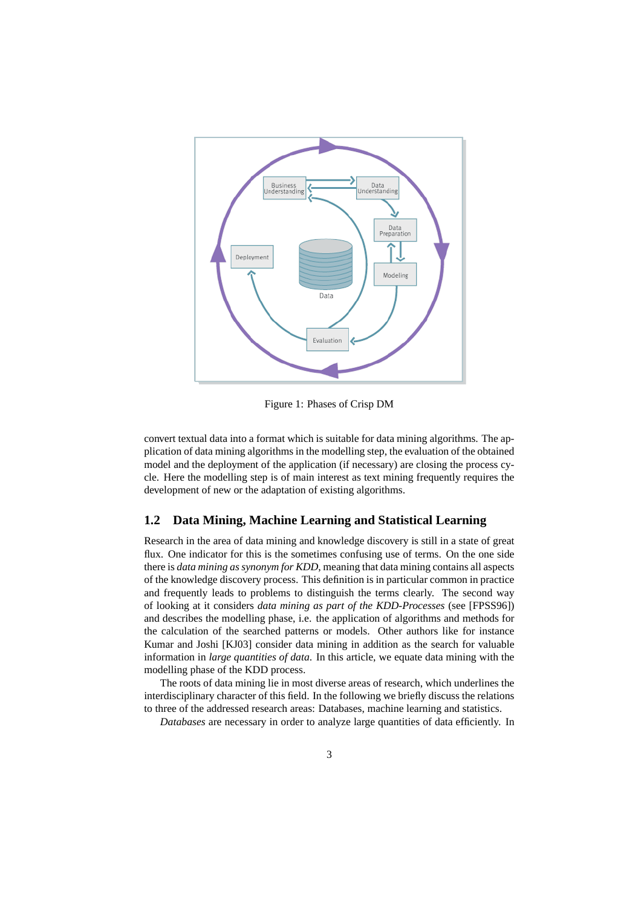

Figure 1: Phases of Crisp DM

convert textual data into a format which is suitable for data mining algorithms. The application of data mining algorithms in the modelling step, the evaluation of the obtained model and the deployment of the application (if necessary) are closing the process cycle. Here the modelling step is of main interest as text mining frequently requires the development of new or the adaptation of existing algorithms.

## **1.2 Data Mining, Machine Learning and Statistical Learning**

Research in the area of data mining and knowledge discovery is still in a state of great flux. One indicator for this is the sometimes confusing use of terms. On the one side there is *data mining as synonym for KDD*, meaning that data mining contains all aspects of the knowledge discovery process. This definition is in particular common in practice and frequently leads to problems to distinguish the terms clearly. The second way of looking at it considers *data mining as part of the KDD-Processes* (see [FPSS96]) and describes the modelling phase, i.e. the application of algorithms and methods for the calculation of the searched patterns or models. Other authors like for instance Kumar and Joshi [KJ03] consider data mining in addition as the search for valuable information in *large quantities of data*. In this article, we equate data mining with the modelling phase of the KDD process.

The roots of data mining lie in most diverse areas of research, which underlines the interdisciplinary character of this field. In the following we briefly discuss the relations to three of the addressed research areas: Databases, machine learning and statistics.

*Databases* are necessary in order to analyze large quantities of data efficiently. In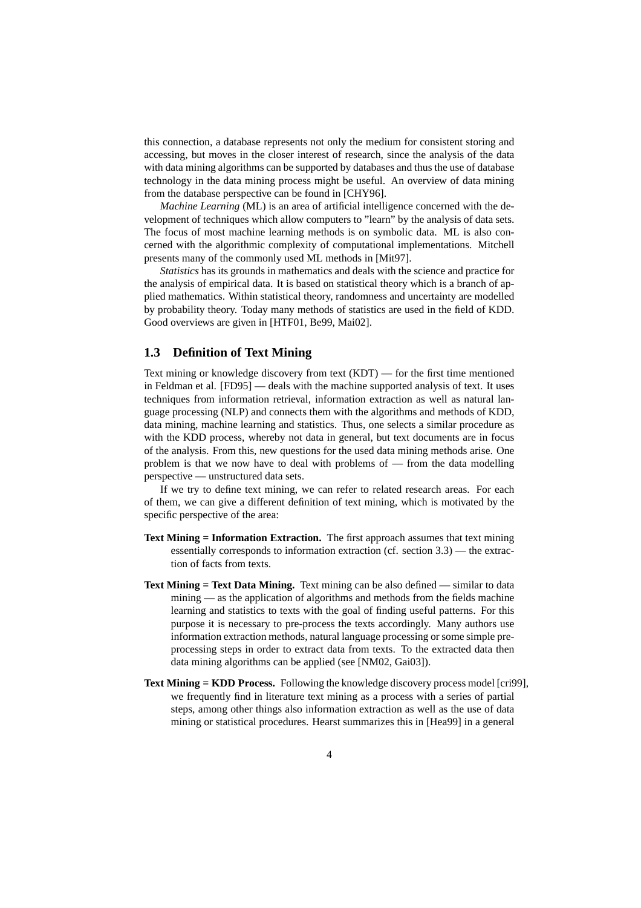this connection, a database represents not only the medium for consistent storing and accessing, but moves in the closer interest of research, since the analysis of the data with data mining algorithms can be supported by databases and thus the use of database technology in the data mining process might be useful. An overview of data mining from the database perspective can be found in [CHY96].

*Machine Learning* (ML) is an area of artificial intelligence concerned with the development of techniques which allow computers to "learn" by the analysis of data sets. The focus of most machine learning methods is on symbolic data. ML is also concerned with the algorithmic complexity of computational implementations. Mitchell presents many of the commonly used ML methods in [Mit97].

*Statistics* has its grounds in mathematics and deals with the science and practice for the analysis of empirical data. It is based on statistical theory which is a branch of applied mathematics. Within statistical theory, randomness and uncertainty are modelled by probability theory. Today many methods of statistics are used in the field of KDD. Good overviews are given in [HTF01, Be99, Mai02].

## **1.3 Definition of Text Mining**

Text mining or knowledge discovery from text (KDT) — for the first time mentioned in Feldman et al. [FD95] — deals with the machine supported analysis of text. It uses techniques from information retrieval, information extraction as well as natural language processing (NLP) and connects them with the algorithms and methods of KDD, data mining, machine learning and statistics. Thus, one selects a similar procedure as with the KDD process, whereby not data in general, but text documents are in focus of the analysis. From this, new questions for the used data mining methods arise. One problem is that we now have to deal with problems of — from the data modelling perspective — unstructured data sets.

If we try to define text mining, we can refer to related research areas. For each of them, we can give a different definition of text mining, which is motivated by the specific perspective of the area:

- **Text Mining = Information Extraction.** The first approach assumes that text mining essentially corresponds to information extraction (cf. section 3.3) — the extraction of facts from texts.
- **Text Mining = Text Data Mining.** Text mining can be also defined similar to data mining — as the application of algorithms and methods from the fields machine learning and statistics to texts with the goal of finding useful patterns. For this purpose it is necessary to pre-process the texts accordingly. Many authors use information extraction methods, natural language processing or some simple preprocessing steps in order to extract data from texts. To the extracted data then data mining algorithms can be applied (see [NM02, Gai03]).
- **Text Mining = KDD Process.** Following the knowledge discovery process model [cri99], we frequently find in literature text mining as a process with a series of partial steps, among other things also information extraction as well as the use of data mining or statistical procedures. Hearst summarizes this in [Hea99] in a general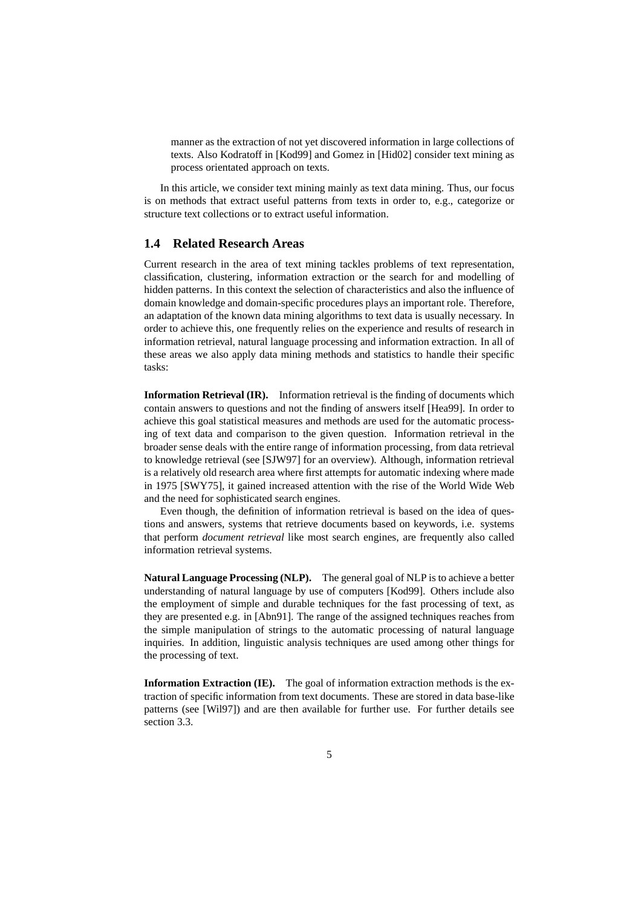manner as the extraction of not yet discovered information in large collections of texts. Also Kodratoff in [Kod99] and Gomez in [Hid02] consider text mining as process orientated approach on texts.

In this article, we consider text mining mainly as text data mining. Thus, our focus is on methods that extract useful patterns from texts in order to, e.g., categorize or structure text collections or to extract useful information.

## **1.4 Related Research Areas**

Current research in the area of text mining tackles problems of text representation, classification, clustering, information extraction or the search for and modelling of hidden patterns. In this context the selection of characteristics and also the influence of domain knowledge and domain-specific procedures plays an important role. Therefore, an adaptation of the known data mining algorithms to text data is usually necessary. In order to achieve this, one frequently relies on the experience and results of research in information retrieval, natural language processing and information extraction. In all of these areas we also apply data mining methods and statistics to handle their specific tasks:

**Information Retrieval (IR).** Information retrieval is the finding of documents which contain answers to questions and not the finding of answers itself [Hea99]. In order to achieve this goal statistical measures and methods are used for the automatic processing of text data and comparison to the given question. Information retrieval in the broader sense deals with the entire range of information processing, from data retrieval to knowledge retrieval (see [SJW97] for an overview). Although, information retrieval is a relatively old research area where first attempts for automatic indexing where made in 1975 [SWY75], it gained increased attention with the rise of the World Wide Web and the need for sophisticated search engines.

Even though, the definition of information retrieval is based on the idea of questions and answers, systems that retrieve documents based on keywords, i.e. systems that perform *document retrieval* like most search engines, are frequently also called information retrieval systems.

**Natural Language Processing (NLP).** The general goal of NLP is to achieve a better understanding of natural language by use of computers [Kod99]. Others include also the employment of simple and durable techniques for the fast processing of text, as they are presented e.g. in [Abn91]. The range of the assigned techniques reaches from the simple manipulation of strings to the automatic processing of natural language inquiries. In addition, linguistic analysis techniques are used among other things for the processing of text.

**Information Extraction (IE).** The goal of information extraction methods is the extraction of specific information from text documents. These are stored in data base-like patterns (see [Wil97]) and are then available for further use. For further details see section 3.3.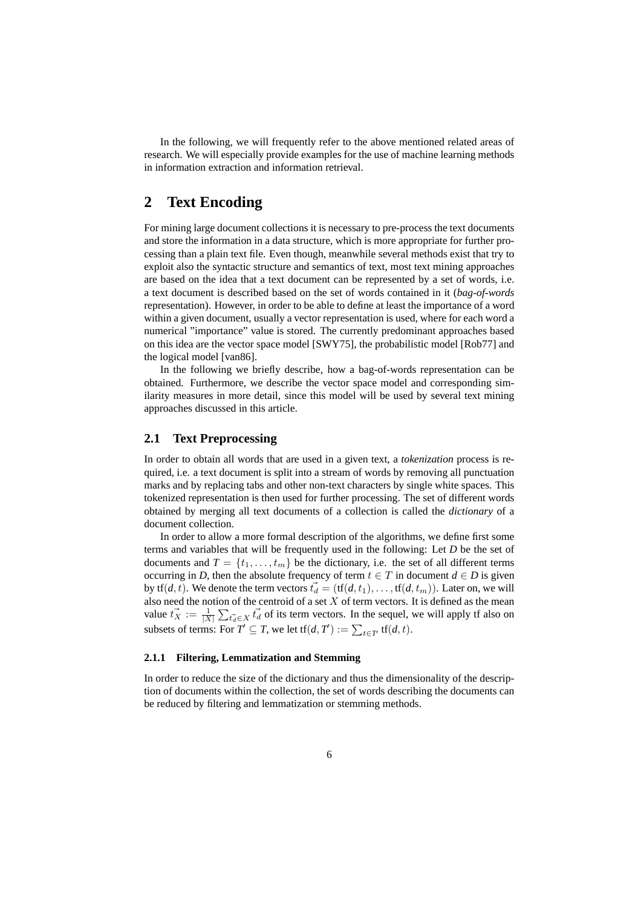In the following, we will frequently refer to the above mentioned related areas of research. We will especially provide examples for the use of machine learning methods in information extraction and information retrieval.

## **2 Text Encoding**

For mining large document collections it is necessary to pre-process the text documents and store the information in a data structure, which is more appropriate for further processing than a plain text file. Even though, meanwhile several methods exist that try to exploit also the syntactic structure and semantics of text, most text mining approaches are based on the idea that a text document can be represented by a set of words, i.e. a text document is described based on the set of words contained in it (*bag-of-words* representation). However, in order to be able to define at least the importance of a word within a given document, usually a vector representation is used, where for each word a numerical "importance" value is stored. The currently predominant approaches based on this idea are the vector space model [SWY75], the probabilistic model [Rob77] and the logical model [van86].

In the following we briefly describe, how a bag-of-words representation can be obtained. Furthermore, we describe the vector space model and corresponding similarity measures in more detail, since this model will be used by several text mining approaches discussed in this article.

## **2.1 Text Preprocessing**

In order to obtain all words that are used in a given text, a *tokenization* process is required, i.e. a text document is split into a stream of words by removing all punctuation marks and by replacing tabs and other non-text characters by single white spaces. This tokenized representation is then used for further processing. The set of different words obtained by merging all text documents of a collection is called the *dictionary* of a document collection.

In order to allow a more formal description of the algorithms, we define first some terms and variables that will be frequently used in the following: Let *D* be the set of documents and  $T = \{t_1, \ldots, t_m\}$  be the dictionary, i.e. the set of all different terms occurring in *D*, then the absolute frequency of term  $t \in T$  in document  $d \in D$  is given by  $\text{tf}(d, t)$ . We denote the term vectors  $\vec{t}_d = (\text{tf}(d, t_1), \dots, \text{tf}(d, t_m))$ . Later on, we will also need the notion of the centroid of a set  $X$  of term vectors. It is defined as the mean value  $t^{\rightarrow}_X := \frac{1}{|X|} \sum_{t_d \in X} \vec{t_d}$  of its term vectors. In the sequel, we will apply tf also on subsets of terms: For  $T' \subseteq T$ , we let  $tf(d, T') := \sum_{t \in T'} tf(d, t)$ .

#### **2.1.1 Filtering, Lemmatization and Stemming**

In order to reduce the size of the dictionary and thus the dimensionality of the description of documents within the collection, the set of words describing the documents can be reduced by filtering and lemmatization or stemming methods.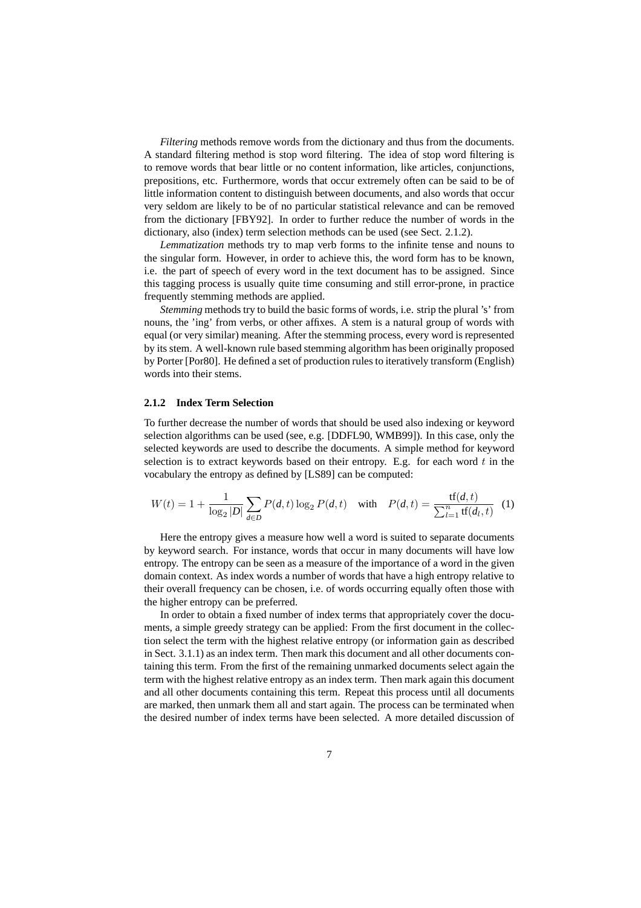*Filtering* methods remove words from the dictionary and thus from the documents. A standard filtering method is stop word filtering. The idea of stop word filtering is to remove words that bear little or no content information, like articles, conjunctions, prepositions, etc. Furthermore, words that occur extremely often can be said to be of little information content to distinguish between documents, and also words that occur very seldom are likely to be of no particular statistical relevance and can be removed from the dictionary [FBY92]. In order to further reduce the number of words in the dictionary, also (index) term selection methods can be used (see Sect. 2.1.2).

*Lemmatization* methods try to map verb forms to the infinite tense and nouns to the singular form. However, in order to achieve this, the word form has to be known, i.e. the part of speech of every word in the text document has to be assigned. Since this tagging process is usually quite time consuming and still error-prone, in practice frequently stemming methods are applied.

*Stemming* methods try to build the basic forms of words, i.e. strip the plural 's' from nouns, the 'ing' from verbs, or other affixes. A stem is a natural group of words with equal (or very similar) meaning. After the stemming process, every word is represented by its stem. A well-known rule based stemming algorithm has been originally proposed by Porter [Por80]. He defined a set of production rules to iteratively transform (English) words into their stems.

#### **2.1.2 Index Term Selection**

To further decrease the number of words that should be used also indexing or keyword selection algorithms can be used (see, e.g. [DDFL90, WMB99]). In this case, only the selected keywords are used to describe the documents. A simple method for keyword selection is to extract keywords based on their entropy. E.g. for each word  $t$  in the vocabulary the entropy as defined by [LS89] can be computed:

$$
W(t) = 1 + \frac{1}{\log_2|D|} \sum_{d \in D} P(d, t) \log_2 P(d, t) \quad \text{with} \quad P(d, t) = \frac{\text{tf}(d, t)}{\sum_{l=1}^n \text{tf}(d_l, t)} \tag{1}
$$

Here the entropy gives a measure how well a word is suited to separate documents by keyword search. For instance, words that occur in many documents will have low entropy. The entropy can be seen as a measure of the importance of a word in the given domain context. As index words a number of words that have a high entropy relative to their overall frequency can be chosen, i.e. of words occurring equally often those with the higher entropy can be preferred.

In order to obtain a fixed number of index terms that appropriately cover the documents, a simple greedy strategy can be applied: From the first document in the collection select the term with the highest relative entropy (or information gain as described in Sect. 3.1.1) as an index term. Then mark this document and all other documents containing this term. From the first of the remaining unmarked documents select again the term with the highest relative entropy as an index term. Then mark again this document and all other documents containing this term. Repeat this process until all documents are marked, then unmark them all and start again. The process can be terminated when the desired number of index terms have been selected. A more detailed discussion of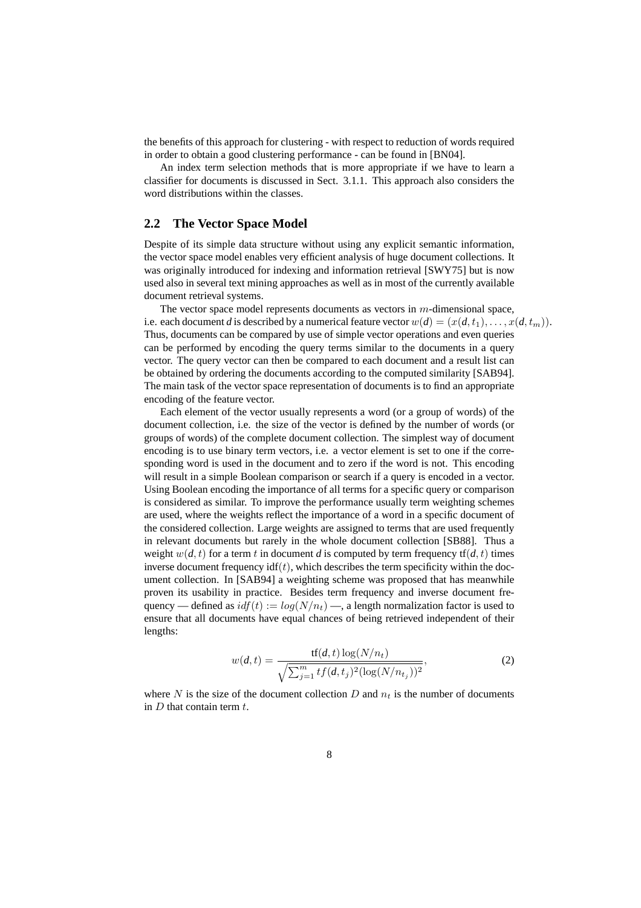the benefits of this approach for clustering - with respect to reduction of words required in order to obtain a good clustering performance - can be found in [BN04].

An index term selection methods that is more appropriate if we have to learn a classifier for documents is discussed in Sect. 3.1.1. This approach also considers the word distributions within the classes.

### **2.2 The Vector Space Model**

Despite of its simple data structure without using any explicit semantic information, the vector space model enables very efficient analysis of huge document collections. It was originally introduced for indexing and information retrieval [SWY75] but is now used also in several text mining approaches as well as in most of the currently available document retrieval systems.

The vector space model represents documents as vectors in  $m$ -dimensional space. i.e. each document *d* is described by a numerical feature vector  $w(d) = (x(d, t_1), \ldots, x(d, t_m))$ . Thus, documents can be compared by use of simple vector operations and even queries can be performed by encoding the query terms similar to the documents in a query vector. The query vector can then be compared to each document and a result list can be obtained by ordering the documents according to the computed similarity [SAB94]. The main task of the vector space representation of documents is to find an appropriate encoding of the feature vector.

Each element of the vector usually represents a word (or a group of words) of the document collection, i.e. the size of the vector is defined by the number of words (or groups of words) of the complete document collection. The simplest way of document encoding is to use binary term vectors, i.e. a vector element is set to one if the corresponding word is used in the document and to zero if the word is not. This encoding will result in a simple Boolean comparison or search if a query is encoded in a vector. Using Boolean encoding the importance of all terms for a specific query or comparison is considered as similar. To improve the performance usually term weighting schemes are used, where the weights reflect the importance of a word in a specific document of the considered collection. Large weights are assigned to terms that are used frequently in relevant documents but rarely in the whole document collection [SB88]. Thus a weight  $w(d, t)$  for a term t in document d is computed by term frequency  $tf(d, t)$  times inverse document frequency  $\text{idf}(t)$ , which describes the term specificity within the document collection. In [SAB94] a weighting scheme was proposed that has meanwhile proven its usability in practice. Besides term frequency and inverse document frequency — defined as  $\text{idf}(t) := \log(N/n_t)$  —, a length normalization factor is used to ensure that all documents have equal chances of being retrieved independent of their lengths:

$$
w(d,t) = \frac{\text{tf}(d,t) \log(N/n_t)}{\sqrt{\sum_{j=1}^{m} tf(d,t_j)^2 (\log(N/n_{t_j}))^2}},\tag{2}
$$

where N is the size of the document collection D and  $n_t$  is the number of documents in  $D$  that contain term  $t$ .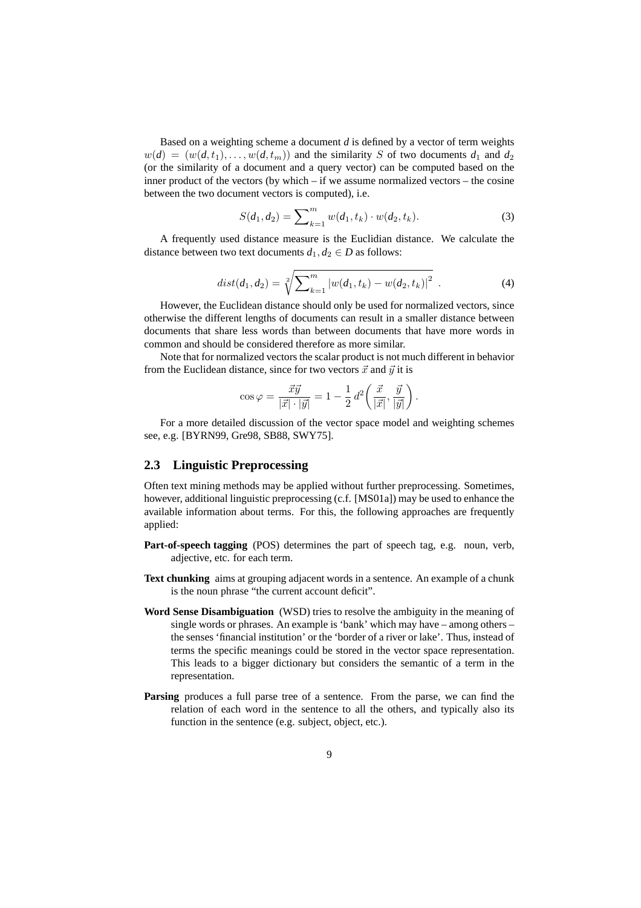Based on a weighting scheme a document *d* is defined by a vector of term weights  $w(d) = (w(d, t_1), \ldots, w(d, t_m))$  and the similarity S of two documents  $d_1$  and  $d_2$ (or the similarity of a document and a query vector) can be computed based on the inner product of the vectors (by which – if we assume normalized vectors – the cosine between the two document vectors is computed), i.e.

$$
S(d_1, d_2) = \sum_{k=1}^{m} w(d_1, t_k) \cdot w(d_2, t_k).
$$
 (3)

A frequently used distance measure is the Euclidian distance. We calculate the distance between two text documents  $d_1, d_2 \in D$  as follows:

$$
dist(d_1, d_2) = \sqrt[2]{\sum_{k=1}^{m} |w(d_1, t_k) - w(d_2, t_k)|^2} \tag{4}
$$

However, the Euclidean distance should only be used for normalized vectors, since otherwise the different lengths of documents can result in a smaller distance between documents that share less words than between documents that have more words in common and should be considered therefore as more similar.

Note that for normalized vectors the scalar product is not much different in behavior from the Euclidean distance, since for two vectors  $\vec{x}$  and  $\vec{y}$  it is

$$
\cos \varphi = \frac{\vec{x} \vec{y}}{|\vec{x}| \cdot |\vec{y}|} = 1 - \frac{1}{2} d^2 \left( \frac{\vec{x}}{|\vec{x}|}, \frac{\vec{y}}{|\vec{y}|} \right).
$$

For a more detailed discussion of the vector space model and weighting schemes see, e.g. [BYRN99, Gre98, SB88, SWY75].

### **2.3 Linguistic Preprocessing**

Often text mining methods may be applied without further preprocessing. Sometimes, however, additional linguistic preprocessing (c.f. [MS01a]) may be used to enhance the available information about terms. For this, the following approaches are frequently applied:

- **Part-of-speech tagging** (POS) determines the part of speech tag, e.g. noun, verb, adjective, etc. for each term.
- **Text chunking** aims at grouping adjacent words in a sentence. An example of a chunk is the noun phrase "the current account deficit".
- **Word Sense Disambiguation** (WSD) tries to resolve the ambiguity in the meaning of single words or phrases. An example is 'bank' which may have – among others – the senses 'financial institution' or the 'border of a river or lake'. Thus, instead of terms the specific meanings could be stored in the vector space representation. This leads to a bigger dictionary but considers the semantic of a term in the representation.
- **Parsing** produces a full parse tree of a sentence. From the parse, we can find the relation of each word in the sentence to all the others, and typically also its function in the sentence (e.g. subject, object, etc.).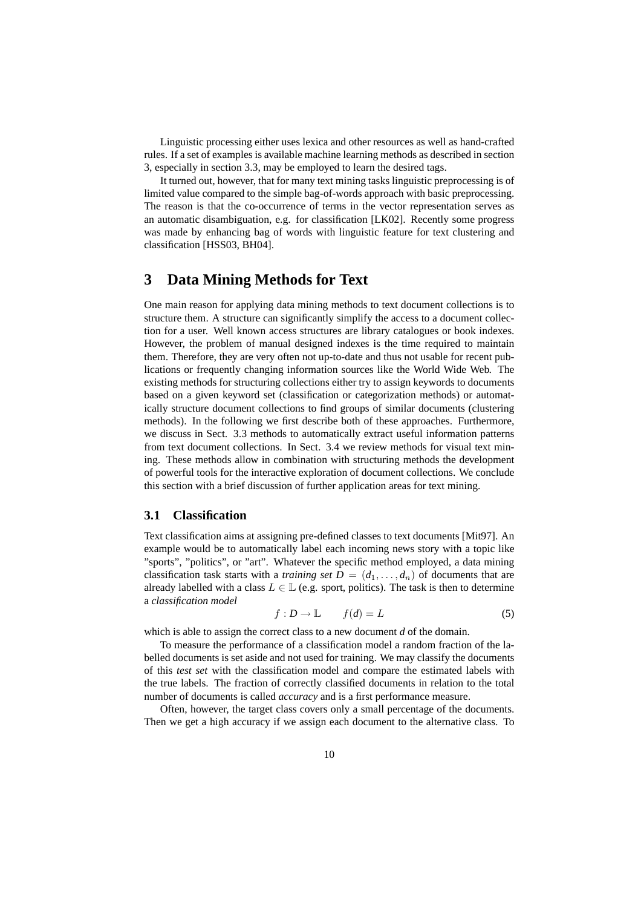Linguistic processing either uses lexica and other resources as well as hand-crafted rules. If a set of examples is available machine learning methods as described in section 3, especially in section 3.3, may be employed to learn the desired tags.

It turned out, however, that for many text mining tasks linguistic preprocessing is of limited value compared to the simple bag-of-words approach with basic preprocessing. The reason is that the co-occurrence of terms in the vector representation serves as an automatic disambiguation, e.g. for classification [LK02]. Recently some progress was made by enhancing bag of words with linguistic feature for text clustering and classification [HSS03, BH04].

## **3 Data Mining Methods for Text**

One main reason for applying data mining methods to text document collections is to structure them. A structure can significantly simplify the access to a document collection for a user. Well known access structures are library catalogues or book indexes. However, the problem of manual designed indexes is the time required to maintain them. Therefore, they are very often not up-to-date and thus not usable for recent publications or frequently changing information sources like the World Wide Web. The existing methods for structuring collections either try to assign keywords to documents based on a given keyword set (classification or categorization methods) or automatically structure document collections to find groups of similar documents (clustering methods). In the following we first describe both of these approaches. Furthermore, we discuss in Sect. 3.3 methods to automatically extract useful information patterns from text document collections. In Sect. 3.4 we review methods for visual text mining. These methods allow in combination with structuring methods the development of powerful tools for the interactive exploration of document collections. We conclude this section with a brief discussion of further application areas for text mining.

## **3.1 Classification**

Text classification aims at assigning pre-defined classes to text documents [Mit97]. An example would be to automatically label each incoming news story with a topic like "sports", "politics", or "art". Whatever the specific method employed, a data mining classification task starts with a *training set*  $D = (d_1, \ldots, d_n)$  of documents that are already labelled with a class  $L \in \mathbb{L}$  (e.g. sport, politics). The task is then to determine a *classification model*

$$
f: D \to \mathbb{L} \qquad f(d) = L \tag{5}
$$

which is able to assign the correct class to a new document *d* of the domain.

To measure the performance of a classification model a random fraction of the labelled documents is set aside and not used for training. We may classify the documents of this *test set* with the classification model and compare the estimated labels with the true labels. The fraction of correctly classified documents in relation to the total number of documents is called *accuracy* and is a first performance measure.

Often, however, the target class covers only a small percentage of the documents. Then we get a high accuracy if we assign each document to the alternative class. To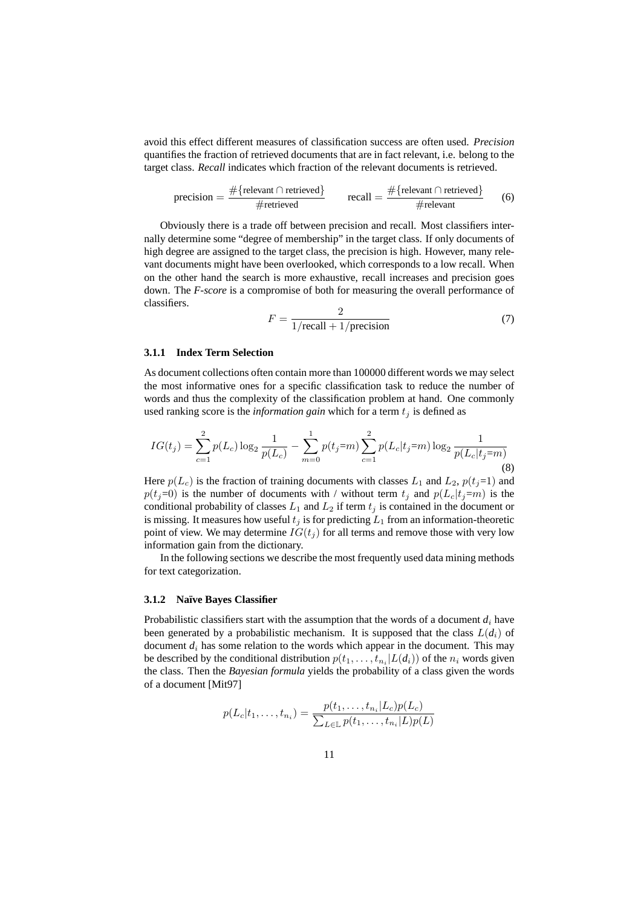avoid this effect different measures of classification success are often used. *Precision* quantifies the fraction of retrieved documents that are in fact relevant, i.e. belong to the target class. *Recall* indicates which fraction of the relevant documents is retrieved.

$$
\text{precision} = \frac{\# \{\text{relevant} \cap \text{retrieved}\}}{\# \text{retrieved}} \qquad \text{recall} = \frac{\# \{\text{relevant} \cap \text{retrieved}\}}{\# \text{relevant}} \qquad (6)
$$

Obviously there is a trade off between precision and recall. Most classifiers internally determine some "degree of membership" in the target class. If only documents of high degree are assigned to the target class, the precision is high. However, many relevant documents might have been overlooked, which corresponds to a low recall. When on the other hand the search is more exhaustive, recall increases and precision goes down. The *F-score* is a compromise of both for measuring the overall performance of classifiers.

$$
F = \frac{2}{1/\text{recall} + 1/\text{precision}}
$$
 (7)

#### **3.1.1 Index Term Selection**

As document collections often contain more than 100000 different words we may select the most informative ones for a specific classification task to reduce the number of words and thus the complexity of the classification problem at hand. One commonly used ranking score is the *information gain* which for a term  $t_i$  is defined as

$$
IG(t_j) = \sum_{c=1}^{2} p(L_c) \log_2 \frac{1}{p(L_c)} - \sum_{m=0}^{1} p(t_j = m) \sum_{c=1}^{2} p(L_c | t_j = m) \log_2 \frac{1}{p(L_c | t_j = m)}
$$
(8)

Here  $p(L_c)$  is the fraction of training documents with classes  $L_1$  and  $L_2$ ,  $p(t_i=1)$  and  $p(t_j=0)$  is the number of documents with / without term  $t_j$  and  $p(L_c|t_j=m)$  is the conditional probability of classes  $L_1$  and  $L_2$  if term  $t_j$  is contained in the document or is missing. It measures how useful  $t_i$  is for predicting  $L_1$  from an information-theoretic point of view. We may determine  $IG(t_i)$  for all terms and remove those with very low information gain from the dictionary.

In the following sections we describe the most frequently used data mining methods for text categorization.

#### **3.1.2 Na¨ıve Bayes Classifier**

Probabilistic classifiers start with the assumption that the words of a document  $d_i$  have been generated by a probabilistic mechanism. It is supposed that the class  $L(d_i)$  of document  $d_i$  has some relation to the words which appear in the document. This may be described by the conditional distribution  $p(t_1, \ldots, t_{n_i} | L(d_i))$  of the  $n_i$  words given the class. Then the *Bayesian formula* yields the probability of a class given the words of a document [Mit97]

$$
p(L_c|t_1,...,t_{n_i}) = \frac{p(t_1,...,t_{n_i}|L_c)p(L_c)}{\sum_{L \in \mathbb{L}} p(t_1,...,t_{n_i}|L)p(L)}
$$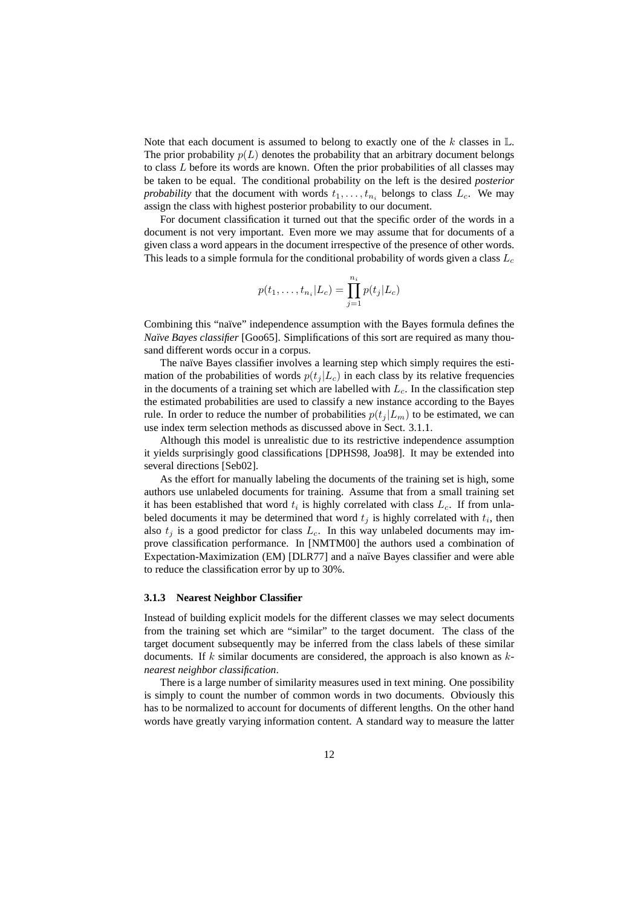Note that each document is assumed to belong to exactly one of the k classes in  $\mathbb{L}$ . The prior probability  $p(L)$  denotes the probability that an arbitrary document belongs to class L before its words are known. Often the prior probabilities of all classes may be taken to be equal. The conditional probability on the left is the desired *posterior probability* that the document with words  $t_1, \ldots, t_{n_i}$  belongs to class  $L_c$ . We may assign the class with highest posterior probability to our document.

For document classification it turned out that the specific order of the words in a document is not very important. Even more we may assume that for documents of a given class a word appears in the document irrespective of the presence of other words. This leads to a simple formula for the conditional probability of words given a class  $L_c$ 

$$
p(t_1, ..., t_{n_i} | L_c) = \prod_{j=1}^{n_i} p(t_j | L_c)
$$

Combining this "naïve" independence assumption with the Bayes formula defines the *Naïve Bayes classifier* [Goo65]. Simplifications of this sort are required as many thousand different words occur in a corpus.

The naïve Bayes classifier involves a learning step which simply requires the estimation of the probabilities of words  $p(t_i | L_c)$  in each class by its relative frequencies in the documents of a training set which are labelled with  $L_c$ . In the classification step the estimated probabilities are used to classify a new instance according to the Bayes rule. In order to reduce the number of probabilities  $p(t_j | L_m)$  to be estimated, we can use index term selection methods as discussed above in Sect. 3.1.1.

Although this model is unrealistic due to its restrictive independence assumption it yields surprisingly good classifications [DPHS98, Joa98]. It may be extended into several directions [Seb02].

As the effort for manually labeling the documents of the training set is high, some authors use unlabeled documents for training. Assume that from a small training set it has been established that word  $t_i$  is highly correlated with class  $L_c$ . If from unlabeled documents it may be determined that word  $t_j$  is highly correlated with  $t_i$ , then also  $t_j$  is a good predictor for class  $L_c$ . In this way unlabeled documents may improve classification performance. In [NMTM00] the authors used a combination of Expectation-Maximization (EM) [DLR77] and a naïve Bayes classifier and were able to reduce the classification error by up to 30%.

#### **3.1.3 Nearest Neighbor Classifier**

Instead of building explicit models for the different classes we may select documents from the training set which are "similar" to the target document. The class of the target document subsequently may be inferred from the class labels of these similar documents. If k similar documents are considered, the approach is also known as k*nearest neighbor classification*.

There is a large number of similarity measures used in text mining. One possibility is simply to count the number of common words in two documents. Obviously this has to be normalized to account for documents of different lengths. On the other hand words have greatly varying information content. A standard way to measure the latter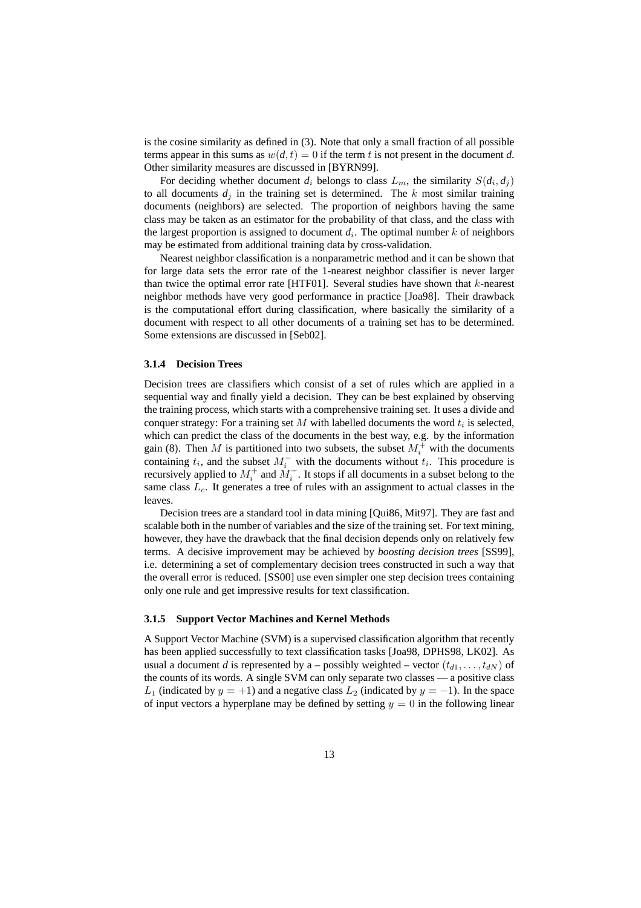is the cosine similarity as defined in (3). Note that only a small fraction of all possible terms appear in this sums as  $w(d, t) = 0$  if the term t is not present in the document d. Other similarity measures are discussed in [BYRN99].

For deciding whether document  $d_i$  belongs to class  $L_m$ , the similarity  $S(d_i, d_j)$ to all documents  $d_i$  in the training set is determined. The  $k$  most similar training documents (neighbors) are selected. The proportion of neighbors having the same class may be taken as an estimator for the probability of that class, and the class with the largest proportion is assigned to document  $d_i$ . The optimal number  $k$  of neighbors may be estimated from additional training data by cross-validation.

Nearest neighbor classification is a nonparametric method and it can be shown that for large data sets the error rate of the 1-nearest neighbor classifier is never larger than twice the optimal error rate [HTF01]. Several studies have shown that  $k$ -nearest neighbor methods have very good performance in practice [Joa98]. Their drawback is the computational effort during classification, where basically the similarity of a document with respect to all other documents of a training set has to be determined. Some extensions are discussed in [Seb02].

#### **3.1.4 Decision Trees**

Decision trees are classifiers which consist of a set of rules which are applied in a sequential way and finally yield a decision. They can be best explained by observing the training process, which starts with a comprehensive training set. It uses a divide and conquer strategy: For a training set M with labelled documents the word  $t_i$  is selected, which can predict the class of the documents in the best way, e.g. by the information gain (8). Then M is partitioned into two subsets, the subset  $M_i^{\dagger}$  with the documents containing  $t_i$ , and the subset  $M_i^-$  with the documents without  $t_i$ . This procedure is recursively applied to  $M_i^+$  and  $M_i^-$ . It stops if all documents in a subset belong to the same class  $L_c$ . It generates a tree of rules with an assignment to actual classes in the leaves.

Decision trees are a standard tool in data mining [Qui86, Mit97]. They are fast and scalable both in the number of variables and the size of the training set. For text mining, however, they have the drawback that the final decision depends only on relatively few terms. A decisive improvement may be achieved by *boosting decision trees* [SS99], i.e. determining a set of complementary decision trees constructed in such a way that the overall error is reduced. [SS00] use even simpler one step decision trees containing only one rule and get impressive results for text classification.

#### **3.1.5 Support Vector Machines and Kernel Methods**

A Support Vector Machine (SVM) is a supervised classification algorithm that recently has been applied successfully to text classification tasks [Joa98, DPHS98, LK02]. As usual a document *d* is represented by a – possibly weighted – vector  $(t_{d1}, \ldots, t_{dN})$  of the counts of its words. A single SVM can only separate two classes — a positive class L<sub>1</sub> (indicated by  $y = +1$ ) and a negative class L<sub>2</sub> (indicated by  $y = -1$ ). In the space of input vectors a hyperplane may be defined by setting  $y = 0$  in the following linear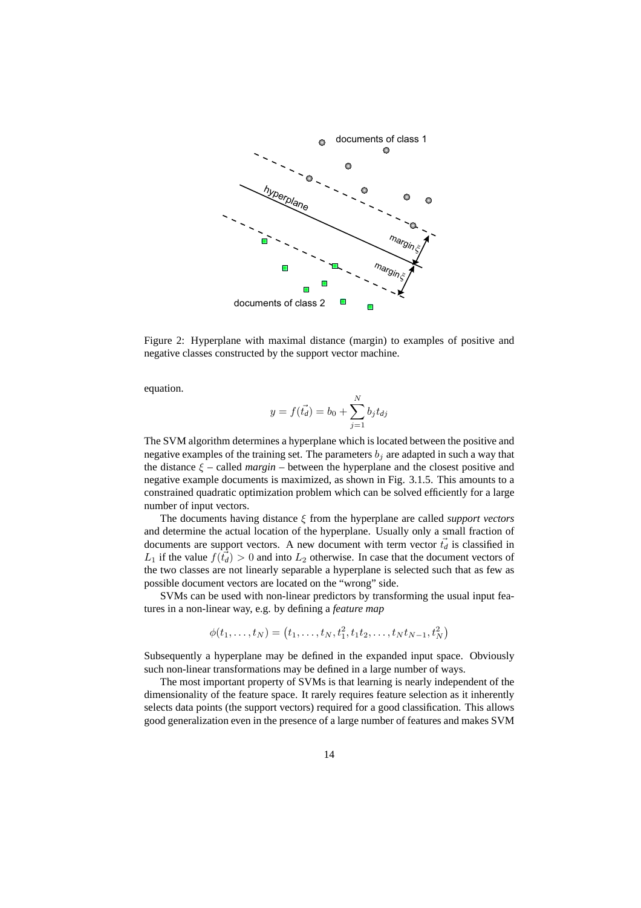

Figure 2: Hyperplane with maximal distance (margin) to examples of positive and negative classes constructed by the support vector machine.

equation.

$$
y = f(\vec{t_d}) = b_0 + \sum_{j=1}^{N} b_j t_{dj}
$$

The SVM algorithm determines a hyperplane which is located between the positive and negative examples of the training set. The parameters  $b_i$  are adapted in such a way that the distance  $\xi$  – called *margin* – between the hyperplane and the closest positive and negative example documents is maximized, as shown in Fig. 3.1.5. This amounts to a constrained quadratic optimization problem which can be solved efficiently for a large number of input vectors.

The documents having distance ξ from the hyperplane are called *support vectors* and determine the actual location of the hyperplane. Usually only a small fraction of documents are support vectors. A new document with term vector  $\vec{t}_d$  is classified in  $L_1$  if the value  $f(\vec{t}_d) > 0$  and into  $L_2$  otherwise. In case that the document vectors of the two classes are not linearly separable a hyperplane is selected such that as few as possible document vectors are located on the "wrong" side.

SVMs can be used with non-linear predictors by transforming the usual input features in a non-linear way, e.g. by defining a *feature map*

$$
\phi(t_1,\ldots,t_N) = \left(t_1,\ldots,t_N,t_1^2,t_1t_2,\ldots,t_Nt_{N-1},t_N^2\right)
$$

Subsequently a hyperplane may be defined in the expanded input space. Obviously such non-linear transformations may be defined in a large number of ways.

The most important property of SVMs is that learning is nearly independent of the dimensionality of the feature space. It rarely requires feature selection as it inherently selects data points (the support vectors) required for a good classification. This allows good generalization even in the presence of a large number of features and makes SVM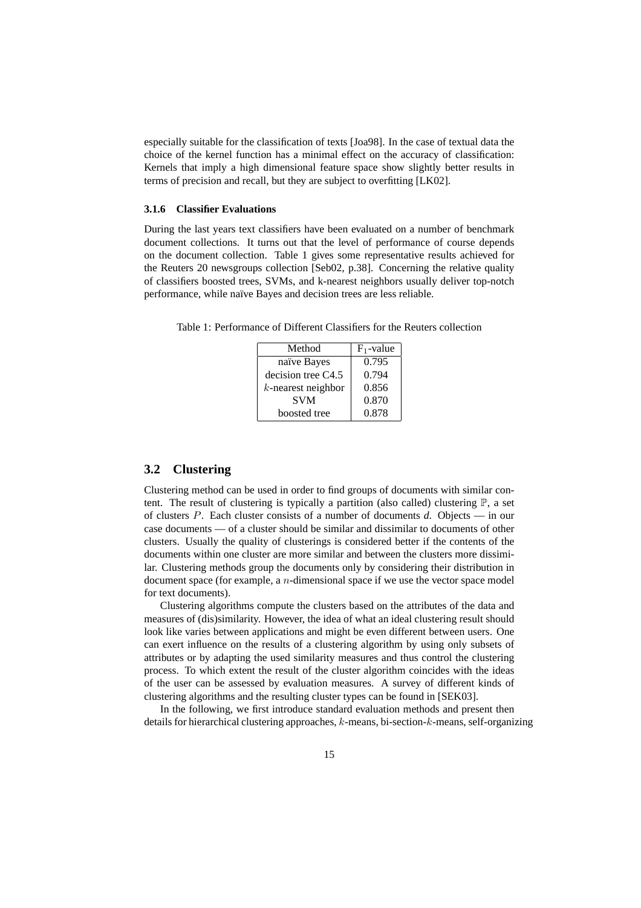especially suitable for the classification of texts [Joa98]. In the case of textual data the choice of the kernel function has a minimal effect on the accuracy of classification: Kernels that imply a high dimensional feature space show slightly better results in terms of precision and recall, but they are subject to overfitting [LK02].

### **3.1.6 Classifier Evaluations**

During the last years text classifiers have been evaluated on a number of benchmark document collections. It turns out that the level of performance of course depends on the document collection. Table 1 gives some representative results achieved for the Reuters 20 newsgroups collection [Seb02, p.38]. Concerning the relative quality of classifiers boosted trees, SVMs, and k-nearest neighbors usually deliver top-notch performance, while naïve Bayes and decision trees are less reliable.

Table 1: Performance of Different Classifiers for the Reuters collection

| Method                | $F_1$ -value |
|-----------------------|--------------|
| naïve Bayes           | 0.795        |
| decision tree C4.5    | 0.794        |
| $k$ -nearest neighbor | 0.856        |
| <b>SVM</b>            | 0.870        |
| boosted tree          | 0.878        |

## **3.2 Clustering**

Clustering method can be used in order to find groups of documents with similar content. The result of clustering is typically a partition (also called) clustering  $\mathbb{P}$ , a set of clusters P. Each cluster consists of a number of documents *d*. Objects — in our case documents — of a cluster should be similar and dissimilar to documents of other clusters. Usually the quality of clusterings is considered better if the contents of the documents within one cluster are more similar and between the clusters more dissimilar. Clustering methods group the documents only by considering their distribution in document space (for example, a n-dimensional space if we use the vector space model for text documents).

Clustering algorithms compute the clusters based on the attributes of the data and measures of (dis)similarity. However, the idea of what an ideal clustering result should look like varies between applications and might be even different between users. One can exert influence on the results of a clustering algorithm by using only subsets of attributes or by adapting the used similarity measures and thus control the clustering process. To which extent the result of the cluster algorithm coincides with the ideas of the user can be assessed by evaluation measures. A survey of different kinds of clustering algorithms and the resulting cluster types can be found in [SEK03].

In the following, we first introduce standard evaluation methods and present then details for hierarchical clustering approaches, k-means, bi-section-k-means, self-organizing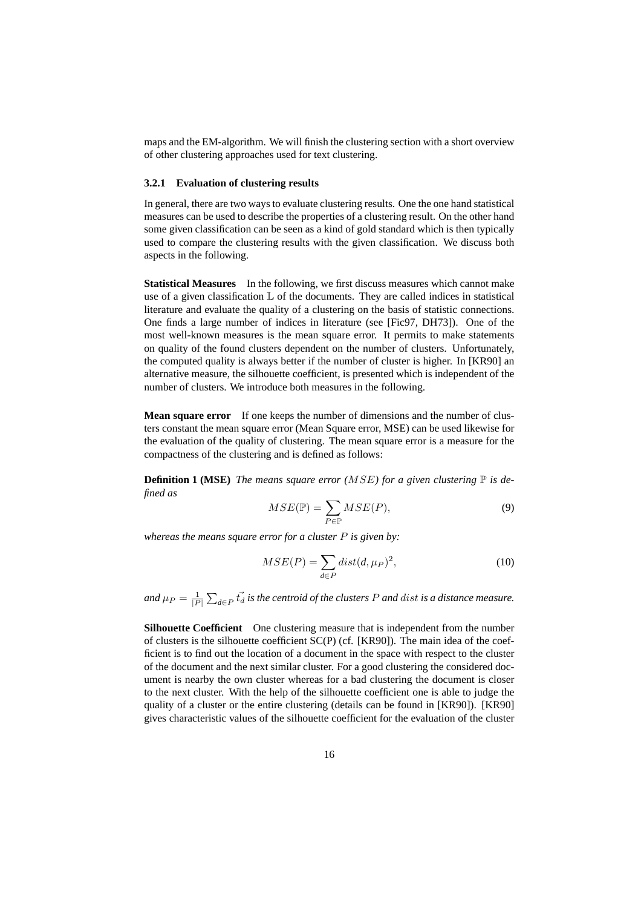maps and the EM-algorithm. We will finish the clustering section with a short overview of other clustering approaches used for text clustering.

#### **3.2.1 Evaluation of clustering results**

In general, there are two ways to evaluate clustering results. One the one hand statistical measures can be used to describe the properties of a clustering result. On the other hand some given classification can be seen as a kind of gold standard which is then typically used to compare the clustering results with the given classification. We discuss both aspects in the following.

**Statistical Measures** In the following, we first discuss measures which cannot make use of a given classification  $\mathbb L$  of the documents. They are called indices in statistical literature and evaluate the quality of a clustering on the basis of statistic connections. One finds a large number of indices in literature (see [Fic97, DH73]). One of the most well-known measures is the mean square error. It permits to make statements on quality of the found clusters dependent on the number of clusters. Unfortunately, the computed quality is always better if the number of cluster is higher. In [KR90] an alternative measure, the silhouette coefficient, is presented which is independent of the number of clusters. We introduce both measures in the following.

**Mean square error** If one keeps the number of dimensions and the number of clusters constant the mean square error (Mean Square error, MSE) can be used likewise for the evaluation of the quality of clustering. The mean square error is a measure for the compactness of the clustering and is defined as follows:

**Definition 1 (MSE)** The means square error (MSE) for a given clustering  $\mathbb P$  is de*fined as*

$$
MSE(\mathbb{P}) = \sum_{P \in \mathbb{P}} MSE(P),\tag{9}
$$

*whereas the means square error for a cluster* P *is given by:*

$$
MSE(P) = \sum_{d \in P} dist(d, \mu_P)^2,
$$
\n(10)

and  $\mu_P = \frac{1}{|P|}$  $\overline{ }$ *d∈P*  $\vec{t_d}$  *is the centroid of the clusters P and dist is a distance measure.* 

**Silhouette Coefficient** One clustering measure that is independent from the number of clusters is the silhouette coefficient SC(P) (cf. [KR90]). The main idea of the coefficient is to find out the location of a document in the space with respect to the cluster of the document and the next similar cluster. For a good clustering the considered document is nearby the own cluster whereas for a bad clustering the document is closer to the next cluster. With the help of the silhouette coefficient one is able to judge the quality of a cluster or the entire clustering (details can be found in [KR90]). [KR90] gives characteristic values of the silhouette coefficient for the evaluation of the cluster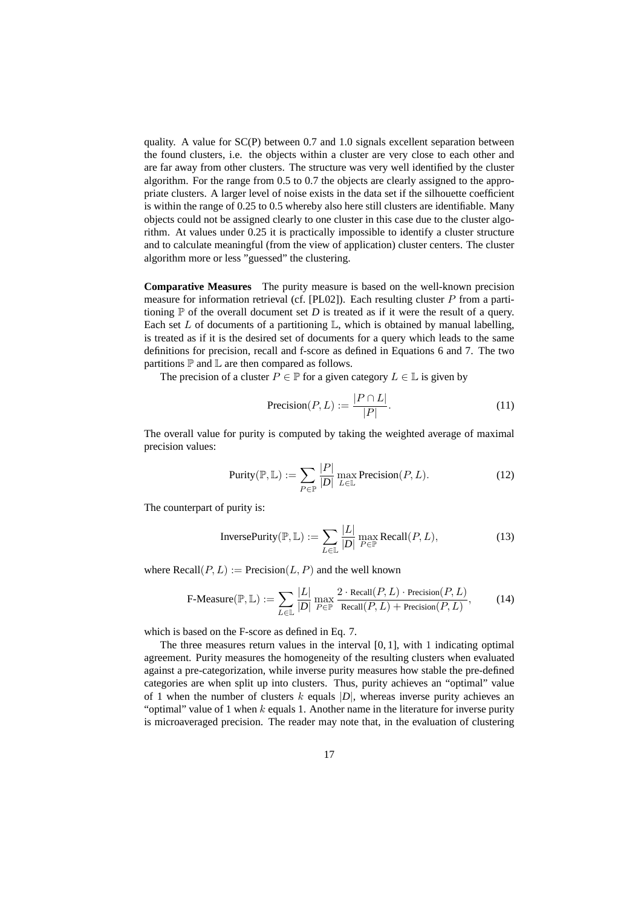quality. A value for  $SC(P)$  between 0.7 and 1.0 signals excellent separation between the found clusters, i.e. the objects within a cluster are very close to each other and are far away from other clusters. The structure was very well identified by the cluster algorithm. For the range from 0.5 to 0.7 the objects are clearly assigned to the appropriate clusters. A larger level of noise exists in the data set if the silhouette coefficient is within the range of 0.25 to 0.5 whereby also here still clusters are identifiable. Many objects could not be assigned clearly to one cluster in this case due to the cluster algorithm. At values under 0.25 it is practically impossible to identify a cluster structure and to calculate meaningful (from the view of application) cluster centers. The cluster algorithm more or less "guessed" the clustering.

**Comparative Measures** The purity measure is based on the well-known precision measure for information retrieval (cf.  $[PL02]$ ). Each resulting cluster P from a partitioning  $\mathbb P$  of the overall document set *D* is treated as if it were the result of a query. Each set L of documents of a partitioning  $\mathbb{L}$ , which is obtained by manual labelling, is treated as if it is the desired set of documents for a query which leads to the same definitions for precision, recall and f-score as defined in Equations 6 and 7. The two partitions  $\mathbb P$  and  $\mathbb L$  are then compared as follows.

The precision of a cluster  $P \in \mathbb{P}$  for a given category  $L \in \mathbb{L}$  is given by

$$
\text{Precision}(P, L) := \frac{|P \cap L|}{|P|}.\tag{11}
$$

The overall value for purity is computed by taking the weighted average of maximal precision values:

$$
Purity(\mathbb{P}, \mathbb{L}) := \sum_{P \in \mathbb{P}} \frac{|P|}{|D|} \max_{L \in \mathbb{L}} \text{Precision}(P, L). \tag{12}
$$

The counterpart of purity is:

$$
\text{InversePurity}(\mathbb{P}, \mathbb{L}) := \sum_{L \in \mathbb{L}} \frac{|L|}{|D|} \max_{P \in \mathbb{P}} \text{Recall}(P, L), \tag{13}
$$

where  $Recall(P, L) := Precision(L, P)$  and the well known

$$
\text{F-Measure}(\mathbb{P}, \mathbb{L}) := \sum_{L \in \mathbb{L}} \frac{|L|}{|D|} \max_{P \in \mathbb{P}} \frac{2 \cdot \text{Recall}(P, L) \cdot \text{Precision}(P, L)}{\text{Recall}(P, L) + \text{Precision}(P, L)},\tag{14}
$$

which is based on the F-score as defined in Eq. 7.

The three measures return values in the interval [0, 1], with 1 indicating optimal agreement. Purity measures the homogeneity of the resulting clusters when evaluated against a pre-categorization, while inverse purity measures how stable the pre-defined categories are when split up into clusters. Thus, purity achieves an "optimal" value of 1 when the number of clusters  $k$  equals  $|D|$ , whereas inverse purity achieves an "optimal" value of 1 when  $k$  equals 1. Another name in the literature for inverse purity is microaveraged precision. The reader may note that, in the evaluation of clustering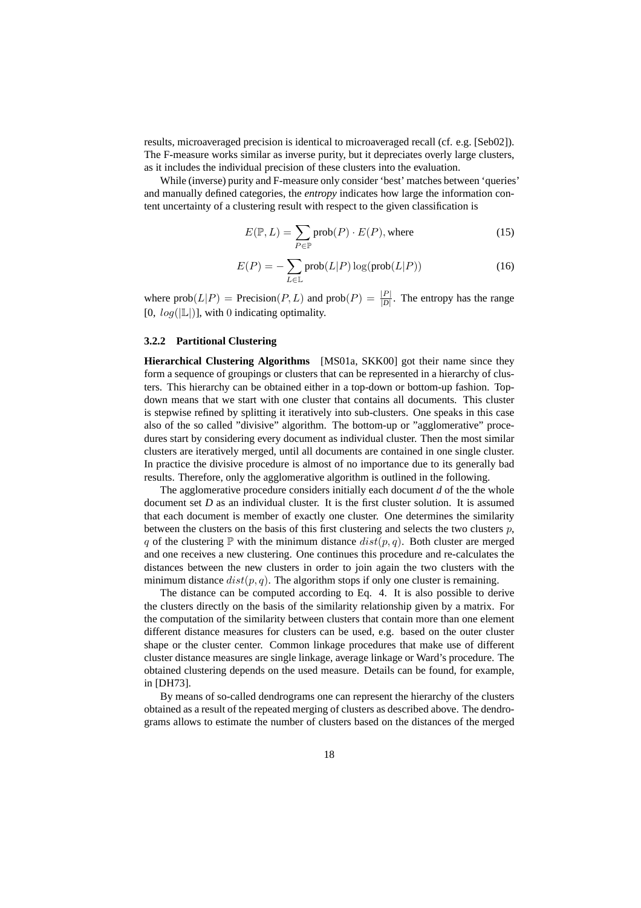results, microaveraged precision is identical to microaveraged recall (cf. e.g. [Seb02]). The F-measure works similar as inverse purity, but it depreciates overly large clusters, as it includes the individual precision of these clusters into the evaluation.

While (inverse) purity and F-measure only consider 'best' matches between 'queries' and manually defined categories, the *entropy* indicates how large the information content uncertainty of a clustering result with respect to the given classification is

$$
E(\mathbb{P}, L) = \sum_{P \in \mathbb{P}} \text{prob}(P) \cdot E(P), \text{where}
$$
 (15)

$$
E(P) = -\sum_{L \in \mathbb{L}} \text{prob}(L|P) \log(\text{prob}(L|P)) \tag{16}
$$

where  $prob(L|P)$  = Precision(P, L) and  $prob(P) = \frac{|P|}{|D|}$ . The entropy has the range  $[0, log(||L||)]$ , with 0 indicating optimality.

#### **3.2.2 Partitional Clustering**

**Hierarchical Clustering Algorithms** [MS01a, SKK00] got their name since they form a sequence of groupings or clusters that can be represented in a hierarchy of clusters. This hierarchy can be obtained either in a top-down or bottom-up fashion. Topdown means that we start with one cluster that contains all documents. This cluster is stepwise refined by splitting it iteratively into sub-clusters. One speaks in this case also of the so called "divisive" algorithm. The bottom-up or "agglomerative" procedures start by considering every document as individual cluster. Then the most similar clusters are iteratively merged, until all documents are contained in one single cluster. In practice the divisive procedure is almost of no importance due to its generally bad results. Therefore, only the agglomerative algorithm is outlined in the following.

The agglomerative procedure considers initially each document *d* of the the whole document set *D* as an individual cluster. It is the first cluster solution. It is assumed that each document is member of exactly one cluster. One determines the similarity between the clusters on the basis of this first clustering and selects the two clusters  $p$ , q of the clustering  $\mathbb P$  with the minimum distance  $dist(p, q)$ . Both cluster are merged and one receives a new clustering. One continues this procedure and re-calculates the distances between the new clusters in order to join again the two clusters with the minimum distance  $dist(p, q)$ . The algorithm stops if only one cluster is remaining.

The distance can be computed according to Eq. 4. It is also possible to derive the clusters directly on the basis of the similarity relationship given by a matrix. For the computation of the similarity between clusters that contain more than one element different distance measures for clusters can be used, e.g. based on the outer cluster shape or the cluster center. Common linkage procedures that make use of different cluster distance measures are single linkage, average linkage or Ward's procedure. The obtained clustering depends on the used measure. Details can be found, for example, in [DH73].

By means of so-called dendrograms one can represent the hierarchy of the clusters obtained as a result of the repeated merging of clusters as described above. The dendrograms allows to estimate the number of clusters based on the distances of the merged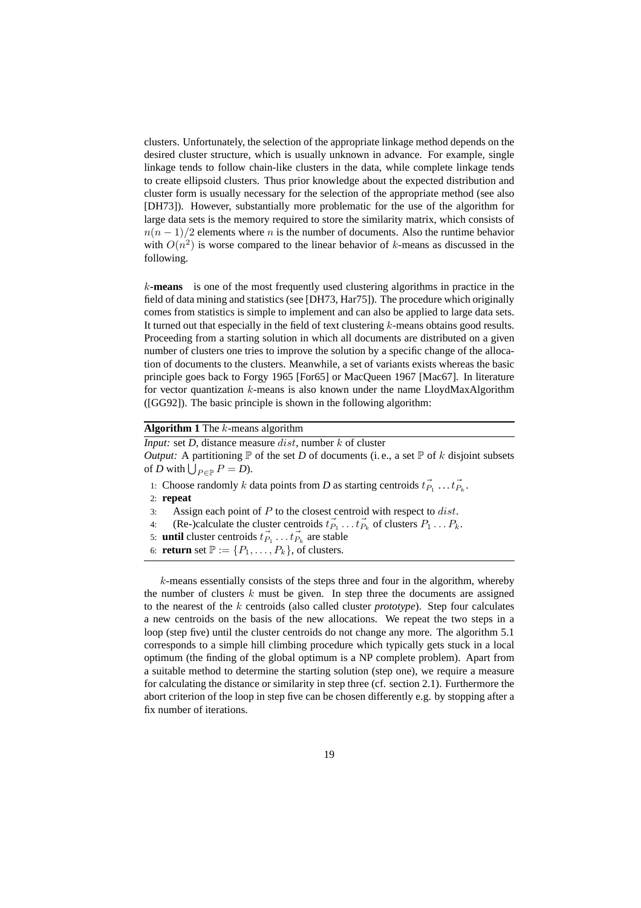clusters. Unfortunately, the selection of the appropriate linkage method depends on the desired cluster structure, which is usually unknown in advance. For example, single linkage tends to follow chain-like clusters in the data, while complete linkage tends to create ellipsoid clusters. Thus prior knowledge about the expected distribution and cluster form is usually necessary for the selection of the appropriate method (see also [DH73]). However, substantially more problematic for the use of the algorithm for large data sets is the memory required to store the similarity matrix, which consists of  $n(n-1)/2$  elements where n is the number of documents. Also the runtime behavior with  $O(n^2)$  is worse compared to the linear behavior of k-means as discussed in the following.

k**-means** is one of the most frequently used clustering algorithms in practice in the field of data mining and statistics (see [DH73, Har75]). The procedure which originally comes from statistics is simple to implement and can also be applied to large data sets. It turned out that especially in the field of text clustering  $k$ -means obtains good results. Proceeding from a starting solution in which all documents are distributed on a given number of clusters one tries to improve the solution by a specific change of the allocation of documents to the clusters. Meanwhile, a set of variants exists whereas the basic principle goes back to Forgy 1965 [For65] or MacQueen 1967 [Mac67]. In literature for vector quantization  $k$ -means is also known under the name LloydMaxAlgorithm ([GG92]). The basic principle is shown in the following algorithm:

#### **Algorithm 1** The k-means algorithm

*Input:* set *D*, distance measure  $dist$ , number  $k$  of cluster

*Output:* A partitioning  $\mathbb P$  of the set *D* of documents (i.e., a set  $\mathbb P$  of *k* disjoint subsets *Output:* A partitioning  $\mathbb{F}$  of *D* with  $\bigcup_{P \in \mathbb{P}} P = D$ .

- 1: Choose randomly k data points from D as starting centroids  $\vec{t}_{P_1} \dots \vec{t}_{P_k}$ .
- 2: **repeat**
- 3: Assign each point of  $P$  to the closest centroid with respect to  $dist$ .
- 4: (Re-)calculate the cluster centroids  $\vec{t}_{P_1}$  ...  $\vec{t}_{P_k}$  of clusters  $P_1 \dots P_k$ .
- 5: **until** cluster centroids  $\vec{t}_{P_1} \dots \vec{t}_{P_k}$  are stable
- 6: **return** set  $\mathbb{P} := \{P_1, \ldots, P_k\}$ , of clusters.

 $k$ -means essentially consists of the steps three and four in the algorithm, whereby the number of clusters  $k$  must be given. In step three the documents are assigned to the nearest of the k centroids (also called cluster *prototype*). Step four calculates a new centroids on the basis of the new allocations. We repeat the two steps in a loop (step five) until the cluster centroids do not change any more. The algorithm 5.1 corresponds to a simple hill climbing procedure which typically gets stuck in a local optimum (the finding of the global optimum is a NP complete problem). Apart from a suitable method to determine the starting solution (step one), we require a measure for calculating the distance or similarity in step three (cf. section 2.1). Furthermore the abort criterion of the loop in step five can be chosen differently e.g. by stopping after a fix number of iterations.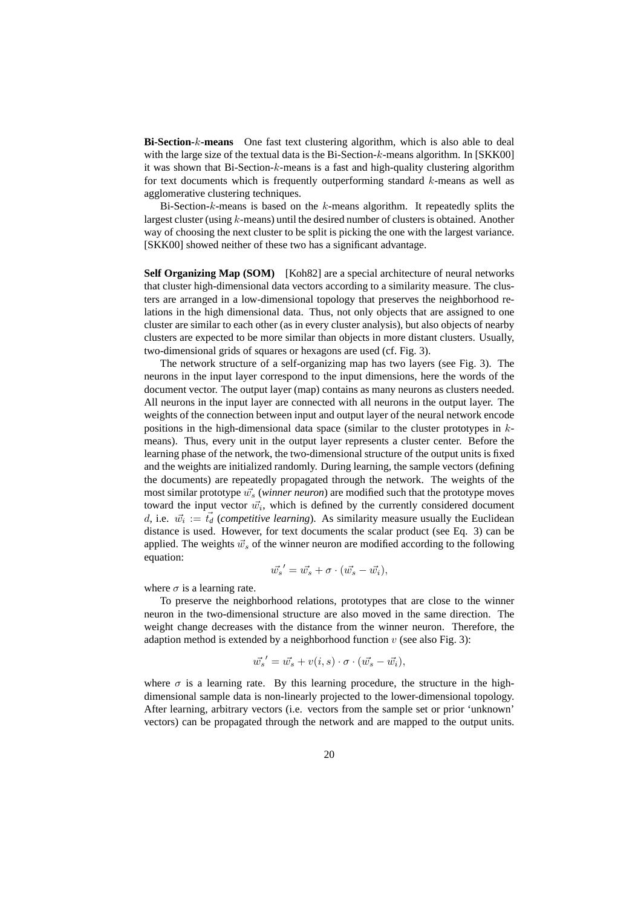**Bi-Section-**k**-means** One fast text clustering algorithm, which is also able to deal with the large size of the textual data is the Bi-Section-k-means algorithm. In [SKK00] it was shown that Bi-Section-k-means is a fast and high-quality clustering algorithm for text documents which is frequently outperforming standard k-means as well as agglomerative clustering techniques.

Bi-Section- $k$ -means is based on the  $k$ -means algorithm. It repeatedly splits the largest cluster (using k-means) until the desired number of clusters is obtained. Another way of choosing the next cluster to be split is picking the one with the largest variance. [SKK00] showed neither of these two has a significant advantage.

**Self Organizing Map (SOM)** [Koh82] are a special architecture of neural networks that cluster high-dimensional data vectors according to a similarity measure. The clusters are arranged in a low-dimensional topology that preserves the neighborhood relations in the high dimensional data. Thus, not only objects that are assigned to one cluster are similar to each other (as in every cluster analysis), but also objects of nearby clusters are expected to be more similar than objects in more distant clusters. Usually, two-dimensional grids of squares or hexagons are used (cf. Fig. 3).

The network structure of a self-organizing map has two layers (see Fig. 3). The neurons in the input layer correspond to the input dimensions, here the words of the document vector. The output layer (map) contains as many neurons as clusters needed. All neurons in the input layer are connected with all neurons in the output layer. The weights of the connection between input and output layer of the neural network encode positions in the high-dimensional data space (similar to the cluster prototypes in kmeans). Thus, every unit in the output layer represents a cluster center. Before the learning phase of the network, the two-dimensional structure of the output units is fixed and the weights are initialized randomly. During learning, the sample vectors (defining the documents) are repeatedly propagated through the network. The weights of the most similar prototype  $\vec{w}_s$  (*winner neuron*) are modified such that the prototype moves toward the input vector  $\vec{w_i}$ , which is defined by the currently considered document d, i.e.  $\vec{w_i} := \vec{t_d}$  (*competitive learning*). As similarity measure usually the Euclidean distance is used. However, for text documents the scalar product (see Eq. 3) can be applied. The weights  $\vec{w}_s$  of the winner neuron are modified according to the following equation:

$$
\vec{w_s}' = \vec{w_s} + \sigma \cdot (\vec{w_s} - \vec{w_i}),
$$

where  $\sigma$  is a learning rate.

To preserve the neighborhood relations, prototypes that are close to the winner neuron in the two-dimensional structure are also moved in the same direction. The weight change decreases with the distance from the winner neuron. Therefore, the adaption method is extended by a neighborhood function  $v$  (see also Fig. 3):

$$
\vec{w_s}' = \vec{w_s} + v(i, s) \cdot \sigma \cdot (\vec{w_s} - \vec{w_i}),
$$

where  $\sigma$  is a learning rate. By this learning procedure, the structure in the highdimensional sample data is non-linearly projected to the lower-dimensional topology. After learning, arbitrary vectors (i.e. vectors from the sample set or prior 'unknown' vectors) can be propagated through the network and are mapped to the output units.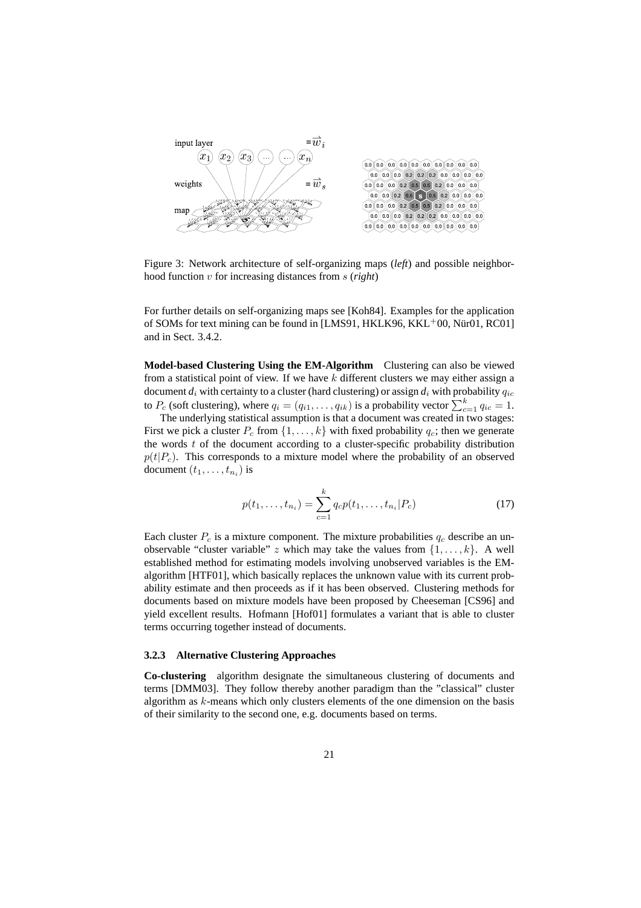

Figure 3: Network architecture of self-organizing maps (*left*) and possible neighborhood function v for increasing distances from s (*right*)

For further details on self-organizing maps see [Koh84]. Examples for the application of SOMs for text mining can be found in [LMS91, HKLK96, KKL<sup>+</sup>00, Nür01, RC01] and in Sect. 3.4.2.

**Model-based Clustering Using the EM-Algorithm** Clustering can also be viewed from a statistical point of view. If we have k different clusters we may either assign a document  $d_i$  with certainty to a cluster (hard clustering) or assign  $d_i$  with probability  $q_{ic}$ to  $P_c$  (soft clustering), where  $q_i = (q_{i1}, \ldots, q_{ik})$  is a probability vector  $\sum_{c=1}^{k} q_{ic} = 1$ . The underlying statistical assumption is that a document was created in two stages: First we pick a cluster  $P_c$  from  $\{1, \ldots, k\}$  with fixed probability  $q_c$ ; then we generate the words  $t$  of the document according to a cluster-specific probability distribution  $p(t|P_c)$ . This corresponds to a mixture model where the probability of an observed document  $(t_1, \ldots, t_{n_i})$  is

$$
p(t_1, \dots, t_{n_i}) = \sum_{c=1}^k q_c p(t_1, \dots, t_{n_i} | P_c)
$$
 (17)

Each cluster  $P_c$  is a mixture component. The mixture probabilities  $q_c$  describe an unobservable "cluster variable" z which may take the values from  $\{1, \ldots, k\}$ . A well established method for estimating models involving unobserved variables is the EMalgorithm [HTF01], which basically replaces the unknown value with its current probability estimate and then proceeds as if it has been observed. Clustering methods for documents based on mixture models have been proposed by Cheeseman [CS96] and yield excellent results. Hofmann [Hof01] formulates a variant that is able to cluster terms occurring together instead of documents.

#### **3.2.3 Alternative Clustering Approaches**

**Co-clustering** algorithm designate the simultaneous clustering of documents and terms [DMM03]. They follow thereby another paradigm than the "classical" cluster algorithm as k-means which only clusters elements of the one dimension on the basis of their similarity to the second one, e.g. documents based on terms.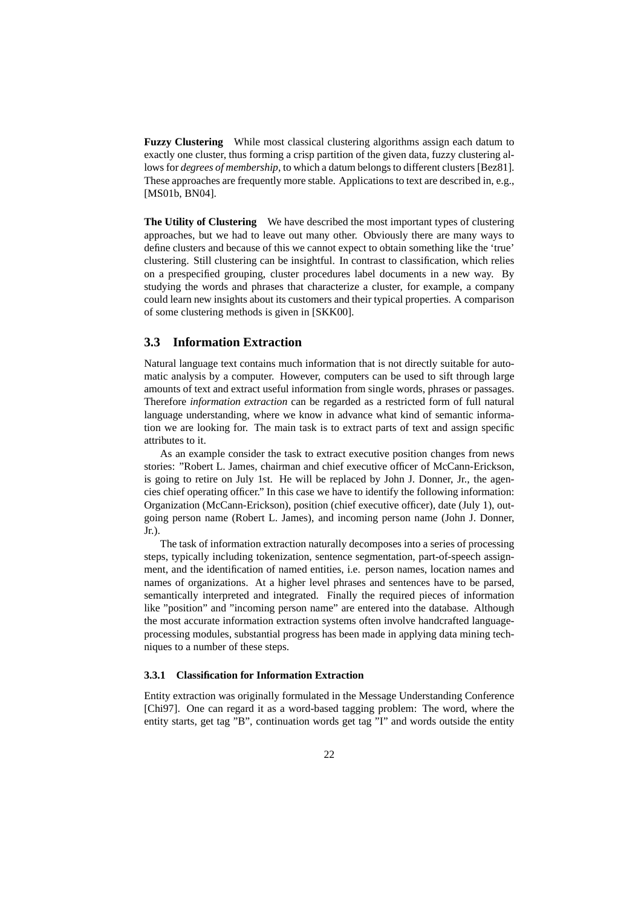**Fuzzy Clustering** While most classical clustering algorithms assign each datum to exactly one cluster, thus forming a crisp partition of the given data, fuzzy clustering allows for *degrees of membership*, to which a datum belongs to different clusters [Bez81]. These approaches are frequently more stable. Applications to text are described in, e.g., [MS01b, BN04].

**The Utility of Clustering** We have described the most important types of clustering approaches, but we had to leave out many other. Obviously there are many ways to define clusters and because of this we cannot expect to obtain something like the 'true' clustering. Still clustering can be insightful. In contrast to classification, which relies on a prespecified grouping, cluster procedures label documents in a new way. By studying the words and phrases that characterize a cluster, for example, a company could learn new insights about its customers and their typical properties. A comparison of some clustering methods is given in [SKK00].

## **3.3 Information Extraction**

Natural language text contains much information that is not directly suitable for automatic analysis by a computer. However, computers can be used to sift through large amounts of text and extract useful information from single words, phrases or passages. Therefore *information extraction* can be regarded as a restricted form of full natural language understanding, where we know in advance what kind of semantic information we are looking for. The main task is to extract parts of text and assign specific attributes to it.

As an example consider the task to extract executive position changes from news stories: "Robert L. James, chairman and chief executive officer of McCann-Erickson, is going to retire on July 1st. He will be replaced by John J. Donner, Jr., the agencies chief operating officer." In this case we have to identify the following information: Organization (McCann-Erickson), position (chief executive officer), date (July 1), outgoing person name (Robert L. James), and incoming person name (John J. Donner, Jr.).

The task of information extraction naturally decomposes into a series of processing steps, typically including tokenization, sentence segmentation, part-of-speech assignment, and the identification of named entities, i.e. person names, location names and names of organizations. At a higher level phrases and sentences have to be parsed, semantically interpreted and integrated. Finally the required pieces of information like "position" and "incoming person name" are entered into the database. Although the most accurate information extraction systems often involve handcrafted languageprocessing modules, substantial progress has been made in applying data mining techniques to a number of these steps.

#### **3.3.1 Classification for Information Extraction**

Entity extraction was originally formulated in the Message Understanding Conference [Chi97]. One can regard it as a word-based tagging problem: The word, where the entity starts, get tag "B", continuation words get tag "I" and words outside the entity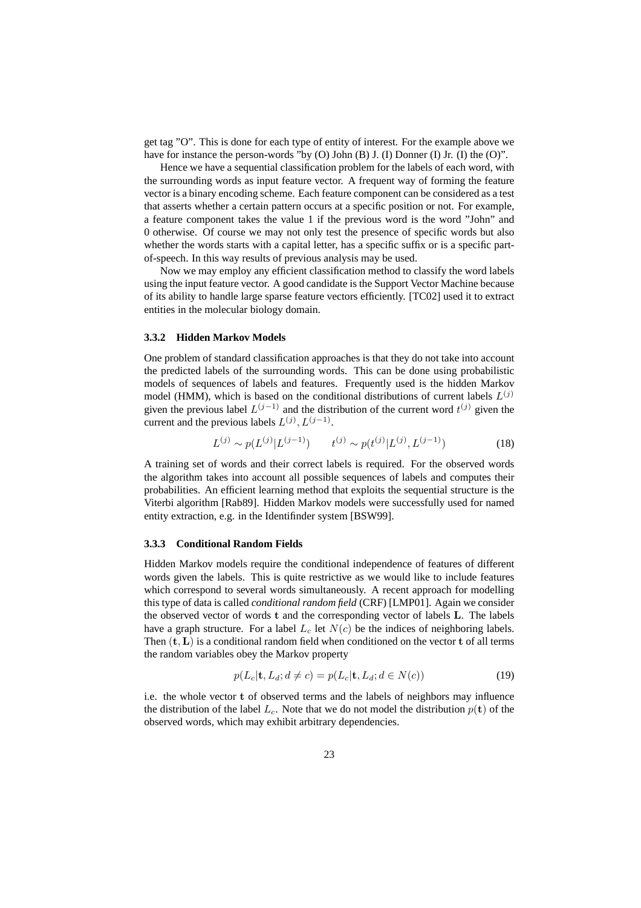get tag "O". This is done for each type of entity of interest. For the example above we have for instance the person-words "by (O) John (B) J. (I) Donner (I) Jr. (I) the (O)".

Hence we have a sequential classification problem for the labels of each word, with the surrounding words as input feature vector. A frequent way of forming the feature vector is a binary encoding scheme. Each feature component can be considered as a test that asserts whether a certain pattern occurs at a specific position or not. For example, a feature component takes the value 1 if the previous word is the word "John" and 0 otherwise. Of course we may not only test the presence of specific words but also whether the words starts with a capital letter, has a specific suffix or is a specific partof-speech. In this way results of previous analysis may be used.

Now we may employ any efficient classification method to classify the word labels using the input feature vector. A good candidate is the Support Vector Machine because of its ability to handle large sparse feature vectors efficiently. [TC02] used it to extract entities in the molecular biology domain.

#### **3.3.2 Hidden Markov Models**

One problem of standard classification approaches is that they do not take into account the predicted labels of the surrounding words. This can be done using probabilistic models of sequences of labels and features. Frequently used is the hidden Markov model (HMM), which is based on the conditional distributions of current labels  $L^{(j)}$ given the previous label  $L^{(j-1)}$  and the distribution of the current word  $t^{(j)}$  given the current and the previous labels  $L^{(j)}$ ,  $L^{(j-1)}$ .

$$
L^{(j)} \sim p(L^{(j)}|L^{(j-1)}) \qquad t^{(j)} \sim p(t^{(j)}|L^{(j)}, L^{(j-1)}) \tag{18}
$$

A training set of words and their correct labels is required. For the observed words the algorithm takes into account all possible sequences of labels and computes their probabilities. An efficient learning method that exploits the sequential structure is the Viterbi algorithm [Rab89]. Hidden Markov models were successfully used for named entity extraction, e.g. in the Identifinder system [BSW99].

#### **3.3.3 Conditional Random Fields**

Hidden Markov models require the conditional independence of features of different words given the labels. This is quite restrictive as we would like to include features which correspond to several words simultaneously. A recent approach for modelling this type of data is called *conditional random field* (CRF) [LMP01]. Again we consider the observed vector of words t and the corresponding vector of labels L. The labels have a graph structure. For a label  $L_c$  let  $N(c)$  be the indices of neighboring labels. Then  $(t, L)$  is a conditional random field when conditioned on the vector  $t$  of all terms the random variables obey the Markov property

$$
p(L_c|\mathbf{t}, L_d; d \neq c) = p(L_c|\mathbf{t}, L_d; d \in N(c))
$$
\n(19)

i.e. the whole vector t of observed terms and the labels of neighbors may influence the distribution of the label  $L_c$ . Note that we do not model the distribution  $p(\mathbf{t})$  of the observed words, which may exhibit arbitrary dependencies.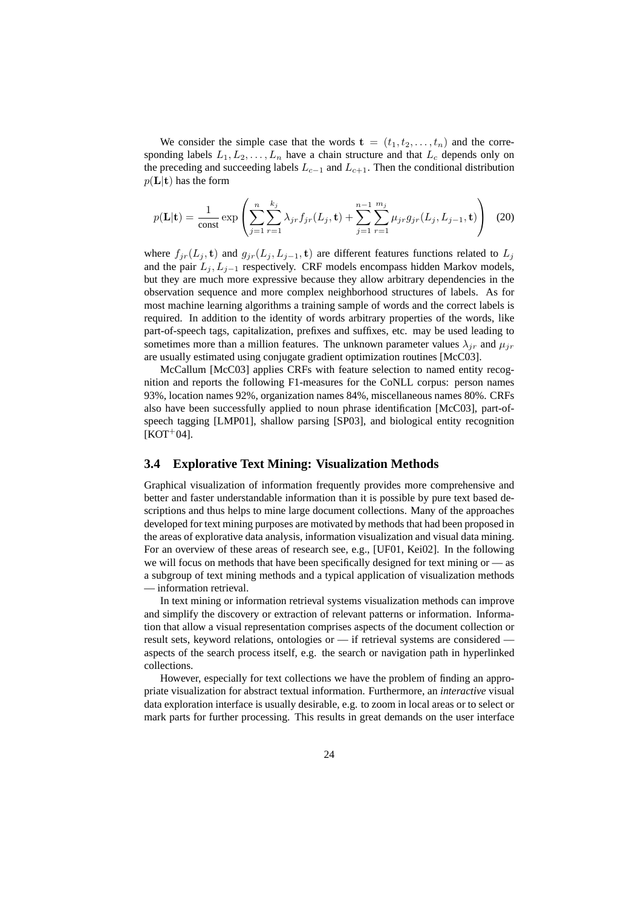We consider the simple case that the words  $\mathbf{t} = (t_1, t_2, \dots, t_n)$  and the corresponding labels  $L_1, L_2, \ldots, L_n$  have a chain structure and that  $L_c$  depends only on the preceding and succeeding labels  $L_{c-1}$  and  $L_{c+1}$ . Then the conditional distribution  $p(L|t)$  has the form

$$
p(\mathbf{L}|\mathbf{t}) = \frac{1}{\text{const}} \exp\left(\sum_{j=1}^{n} \sum_{r=1}^{k_j} \lambda_{jr} f_{jr}(L_j, \mathbf{t}) + \sum_{j=1}^{n-1} \sum_{r=1}^{m_j} \mu_{jr} g_{jr}(L_j, L_{j-1}, \mathbf{t})\right)
$$
(20)

where  $f_{jr}(L_j, t)$  and  $g_{jr}(L_j, L_{j-1}, t)$  are different features functions related to  $L_j$ and the pair  $L_j, L_{j-1}$  respectively. CRF models encompass hidden Markov models, but they are much more expressive because they allow arbitrary dependencies in the observation sequence and more complex neighborhood structures of labels. As for most machine learning algorithms a training sample of words and the correct labels is required. In addition to the identity of words arbitrary properties of the words, like part-of-speech tags, capitalization, prefixes and suffixes, etc. may be used leading to sometimes more than a million features. The unknown parameter values  $\lambda_{ir}$  and  $\mu_{ir}$ are usually estimated using conjugate gradient optimization routines [McC03].

McCallum [McC03] applies CRFs with feature selection to named entity recognition and reports the following F1-measures for the CoNLL corpus: person names 93%, location names 92%, organization names 84%, miscellaneous names 80%. CRFs also have been successfully applied to noun phrase identification [McC03], part-ofspeech tagging [LMP01], shallow parsing [SP03], and biological entity recognition  $[KOT<sup>+</sup>04].$ 

## **3.4 Explorative Text Mining: Visualization Methods**

Graphical visualization of information frequently provides more comprehensive and better and faster understandable information than it is possible by pure text based descriptions and thus helps to mine large document collections. Many of the approaches developed for text mining purposes are motivated by methods that had been proposed in the areas of explorative data analysis, information visualization and visual data mining. For an overview of these areas of research see, e.g., [UF01, Kei02]. In the following we will focus on methods that have been specifically designed for text mining or — as a subgroup of text mining methods and a typical application of visualization methods — information retrieval.

In text mining or information retrieval systems visualization methods can improve and simplify the discovery or extraction of relevant patterns or information. Information that allow a visual representation comprises aspects of the document collection or result sets, keyword relations, ontologies or — if retrieval systems are considered aspects of the search process itself, e.g. the search or navigation path in hyperlinked collections.

However, especially for text collections we have the problem of finding an appropriate visualization for abstract textual information. Furthermore, an *interactive* visual data exploration interface is usually desirable, e.g. to zoom in local areas or to select or mark parts for further processing. This results in great demands on the user interface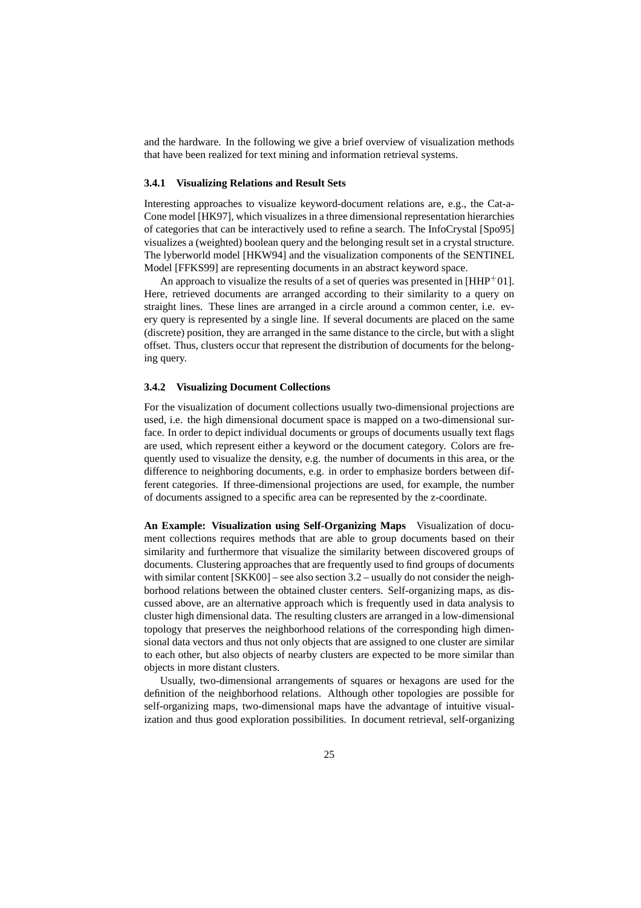and the hardware. In the following we give a brief overview of visualization methods that have been realized for text mining and information retrieval systems.

#### **3.4.1 Visualizing Relations and Result Sets**

Interesting approaches to visualize keyword-document relations are, e.g., the Cat-a-Cone model [HK97], which visualizes in a three dimensional representation hierarchies of categories that can be interactively used to refine a search. The InfoCrystal [Spo95] visualizes a (weighted) boolean query and the belonging result set in a crystal structure. The lyberworld model [HKW94] and the visualization components of the SENTINEL Model [FFKS99] are representing documents in an abstract keyword space.

An approach to visualize the results of a set of queries was presented in  $[HHP^+01]$ . Here, retrieved documents are arranged according to their similarity to a query on straight lines. These lines are arranged in a circle around a common center, i.e. every query is represented by a single line. If several documents are placed on the same (discrete) position, they are arranged in the same distance to the circle, but with a slight offset. Thus, clusters occur that represent the distribution of documents for the belonging query.

#### **3.4.2 Visualizing Document Collections**

For the visualization of document collections usually two-dimensional projections are used, i.e. the high dimensional document space is mapped on a two-dimensional surface. In order to depict individual documents or groups of documents usually text flags are used, which represent either a keyword or the document category. Colors are frequently used to visualize the density, e.g. the number of documents in this area, or the difference to neighboring documents, e.g. in order to emphasize borders between different categories. If three-dimensional projections are used, for example, the number of documents assigned to a specific area can be represented by the z-coordinate.

**An Example: Visualization using Self-Organizing Maps** Visualization of document collections requires methods that are able to group documents based on their similarity and furthermore that visualize the similarity between discovered groups of documents. Clustering approaches that are frequently used to find groups of documents with similar content  $[SKK00]$  – see also section 3.2 – usually do not consider the neighborhood relations between the obtained cluster centers. Self-organizing maps, as discussed above, are an alternative approach which is frequently used in data analysis to cluster high dimensional data. The resulting clusters are arranged in a low-dimensional topology that preserves the neighborhood relations of the corresponding high dimensional data vectors and thus not only objects that are assigned to one cluster are similar to each other, but also objects of nearby clusters are expected to be more similar than objects in more distant clusters.

Usually, two-dimensional arrangements of squares or hexagons are used for the definition of the neighborhood relations. Although other topologies are possible for self-organizing maps, two-dimensional maps have the advantage of intuitive visualization and thus good exploration possibilities. In document retrieval, self-organizing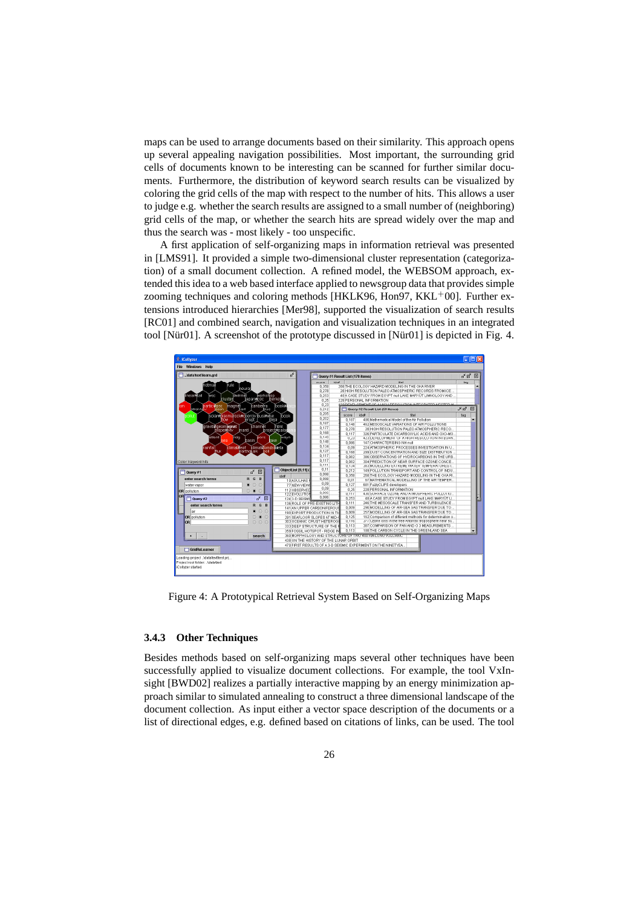maps can be used to arrange documents based on their similarity. This approach opens up several appealing navigation possibilities. Most important, the surrounding grid cells of documents known to be interesting can be scanned for further similar documents. Furthermore, the distribution of keyword search results can be visualized by coloring the grid cells of the map with respect to the number of hits. This allows a user to judge e.g. whether the search results are assigned to a small number of (neighboring) grid cells of the map, or whether the search hits are spread widely over the map and thus the search was - most likely - too unspecific.

A first application of self-organizing maps in information retrieval was presented in [LMS91]. It provided a simple two-dimensional cluster representation (categorization) of a small document collection. A refined model, the WEBSOM approach, extended this idea to a web based interface applied to newsgroup data that provides simple zooming techniques and coloring methods [ $HKLK96$ ,  $Hon97$ ,  $KKL+00$ ]. Further extensions introduced hierarchies [Mer98], supported the visualization of search results [RC01] and combined search, navigation and visualization techniques in an integrated tool [Nür01]. A screenshot of the prototype discussed in [Nür01] is depicted in Fig. 4.



Figure 4: A Prototypical Retrieval System Based on Self-Organizing Maps

#### **3.4.3 Other Techniques**

Besides methods based on self-organizing maps several other techniques have been successfully applied to visualize document collections. For example, the tool VxInsight [BWD02] realizes a partially interactive mapping by an energy minimization approach similar to simulated annealing to construct a three dimensional landscape of the document collection. As input either a vector space description of the documents or a list of directional edges, e.g. defined based on citations of links, can be used. The tool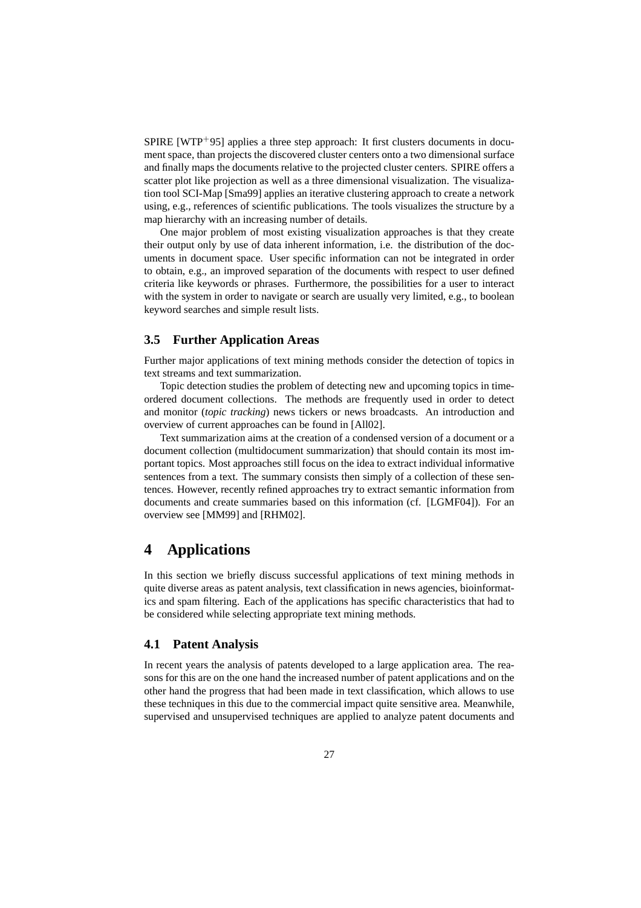SPIRE [WTP+95] applies a three step approach: It first clusters documents in document space, than projects the discovered cluster centers onto a two dimensional surface and finally maps the documents relative to the projected cluster centers. SPIRE offers a scatter plot like projection as well as a three dimensional visualization. The visualization tool SCI-Map [Sma99] applies an iterative clustering approach to create a network using, e.g., references of scientific publications. The tools visualizes the structure by a map hierarchy with an increasing number of details.

One major problem of most existing visualization approaches is that they create their output only by use of data inherent information, i.e. the distribution of the documents in document space. User specific information can not be integrated in order to obtain, e.g., an improved separation of the documents with respect to user defined criteria like keywords or phrases. Furthermore, the possibilities for a user to interact with the system in order to navigate or search are usually very limited, e.g., to boolean keyword searches and simple result lists.

## **3.5 Further Application Areas**

Further major applications of text mining methods consider the detection of topics in text streams and text summarization.

Topic detection studies the problem of detecting new and upcoming topics in timeordered document collections. The methods are frequently used in order to detect and monitor (*topic tracking*) news tickers or news broadcasts. An introduction and overview of current approaches can be found in [All02].

Text summarization aims at the creation of a condensed version of a document or a document collection (multidocument summarization) that should contain its most important topics. Most approaches still focus on the idea to extract individual informative sentences from a text. The summary consists then simply of a collection of these sentences. However, recently refined approaches try to extract semantic information from documents and create summaries based on this information (cf. [LGMF04]). For an overview see [MM99] and [RHM02].

## **4 Applications**

In this section we briefly discuss successful applications of text mining methods in quite diverse areas as patent analysis, text classification in news agencies, bioinformatics and spam filtering. Each of the applications has specific characteristics that had to be considered while selecting appropriate text mining methods.

## **4.1 Patent Analysis**

In recent years the analysis of patents developed to a large application area. The reasons for this are on the one hand the increased number of patent applications and on the other hand the progress that had been made in text classification, which allows to use these techniques in this due to the commercial impact quite sensitive area. Meanwhile, supervised and unsupervised techniques are applied to analyze patent documents and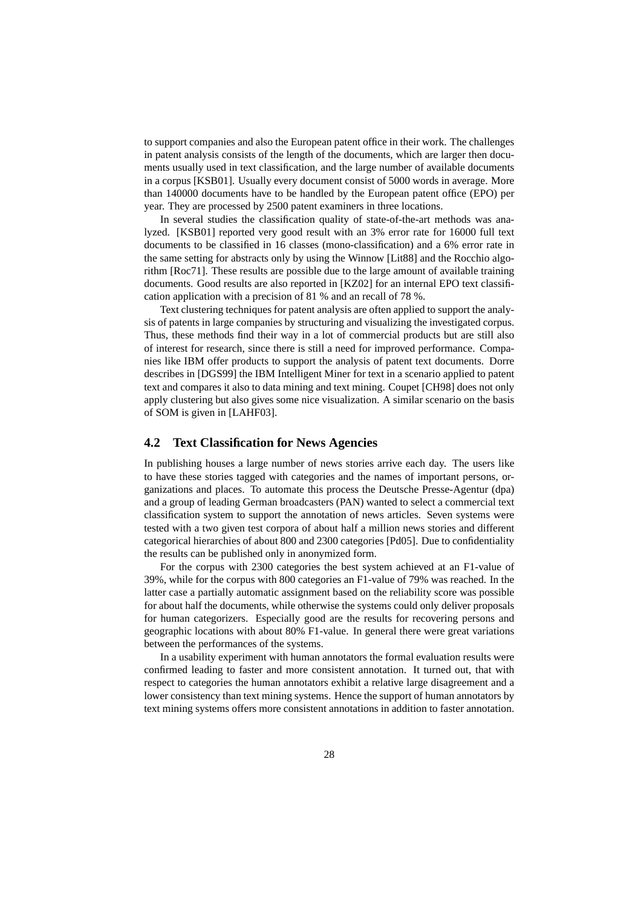to support companies and also the European patent office in their work. The challenges in patent analysis consists of the length of the documents, which are larger then documents usually used in text classification, and the large number of available documents in a corpus [KSB01]. Usually every document consist of 5000 words in average. More than 140000 documents have to be handled by the European patent office (EPO) per year. They are processed by 2500 patent examiners in three locations.

In several studies the classification quality of state-of-the-art methods was analyzed. [KSB01] reported very good result with an 3% error rate for 16000 full text documents to be classified in 16 classes (mono-classification) and a 6% error rate in the same setting for abstracts only by using the Winnow [Lit88] and the Rocchio algorithm [Roc71]. These results are possible due to the large amount of available training documents. Good results are also reported in [KZ02] for an internal EPO text classification application with a precision of 81 % and an recall of 78 %.

Text clustering techniques for patent analysis are often applied to support the analysis of patents in large companies by structuring and visualizing the investigated corpus. Thus, these methods find their way in a lot of commercial products but are still also of interest for research, since there is still a need for improved performance. Companies like IBM offer products to support the analysis of patent text documents. Dorre describes in [DGS99] the IBM Intelligent Miner for text in a scenario applied to patent text and compares it also to data mining and text mining. Coupet [CH98] does not only apply clustering but also gives some nice visualization. A similar scenario on the basis of SOM is given in [LAHF03].

## **4.2 Text Classification for News Agencies**

In publishing houses a large number of news stories arrive each day. The users like to have these stories tagged with categories and the names of important persons, organizations and places. To automate this process the Deutsche Presse-Agentur (dpa) and a group of leading German broadcasters (PAN) wanted to select a commercial text classification system to support the annotation of news articles. Seven systems were tested with a two given test corpora of about half a million news stories and different categorical hierarchies of about 800 and 2300 categories [Pd05]. Due to confidentiality the results can be published only in anonymized form.

For the corpus with 2300 categories the best system achieved at an F1-value of 39%, while for the corpus with 800 categories an F1-value of 79% was reached. In the latter case a partially automatic assignment based on the reliability score was possible for about half the documents, while otherwise the systems could only deliver proposals for human categorizers. Especially good are the results for recovering persons and geographic locations with about 80% F1-value. In general there were great variations between the performances of the systems.

In a usability experiment with human annotators the formal evaluation results were confirmed leading to faster and more consistent annotation. It turned out, that with respect to categories the human annotators exhibit a relative large disagreement and a lower consistency than text mining systems. Hence the support of human annotators by text mining systems offers more consistent annotations in addition to faster annotation.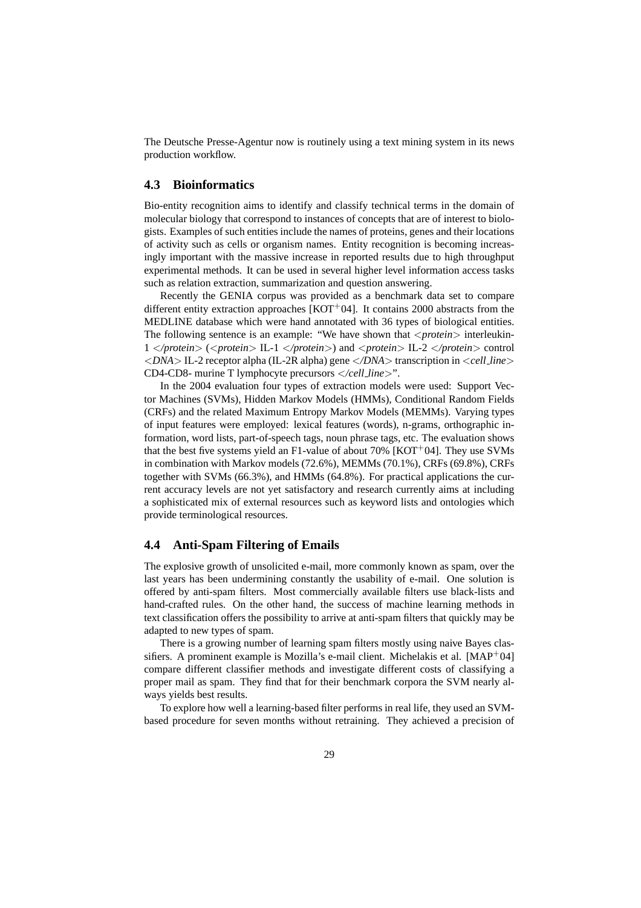The Deutsche Presse-Agentur now is routinely using a text mining system in its news production workflow.

## **4.3 Bioinformatics**

Bio-entity recognition aims to identify and classify technical terms in the domain of molecular biology that correspond to instances of concepts that are of interest to biologists. Examples of such entities include the names of proteins, genes and their locations of activity such as cells or organism names. Entity recognition is becoming increasingly important with the massive increase in reported results due to high throughput experimental methods. It can be used in several higher level information access tasks such as relation extraction, summarization and question answering.

Recently the GENIA corpus was provided as a benchmark data set to compare different entity extraction approaches [KOT<sup>+</sup>04]. It contains 2000 abstracts from the MEDLINE database which were hand annotated with 36 types of biological entities. The following sentence is an example: "We have shown that <*protein*> interleukin-1 <*/protein*> (<*protein*> IL-1 <*/protein*>) and <*protein*> IL-2 <*/protein*> control <*DNA*> IL-2 receptor alpha (IL-2R alpha) gene <*/DNA*> transcription in <*cell line*> CD4-CD8- murine T lymphocyte precursors <*/cell line*>".

In the 2004 evaluation four types of extraction models were used: Support Vector Machines (SVMs), Hidden Markov Models (HMMs), Conditional Random Fields (CRFs) and the related Maximum Entropy Markov Models (MEMMs). Varying types of input features were employed: lexical features (words), n-grams, orthographic information, word lists, part-of-speech tags, noun phrase tags, etc. The evaluation shows that the best five systems yield an F1-value of about 70% [KOT<sup>+</sup>04]. They use SVMs in combination with Markov models (72.6%), MEMMs (70.1%), CRFs (69.8%), CRFs together with SVMs (66.3%), and HMMs (64.8%). For practical applications the current accuracy levels are not yet satisfactory and research currently aims at including a sophisticated mix of external resources such as keyword lists and ontologies which provide terminological resources.

### **4.4 Anti-Spam Filtering of Emails**

The explosive growth of unsolicited e-mail, more commonly known as spam, over the last years has been undermining constantly the usability of e-mail. One solution is offered by anti-spam filters. Most commercially available filters use black-lists and hand-crafted rules. On the other hand, the success of machine learning methods in text classification offers the possibility to arrive at anti-spam filters that quickly may be adapted to new types of spam.

There is a growing number of learning spam filters mostly using naive Bayes classifiers. A prominent example is Mozilla's e-mail client. Michelakis et al.  $[MAP^+04]$ compare different classifier methods and investigate different costs of classifying a proper mail as spam. They find that for their benchmark corpora the SVM nearly always yields best results.

To explore how well a learning-based filter performs in real life, they used an SVMbased procedure for seven months without retraining. They achieved a precision of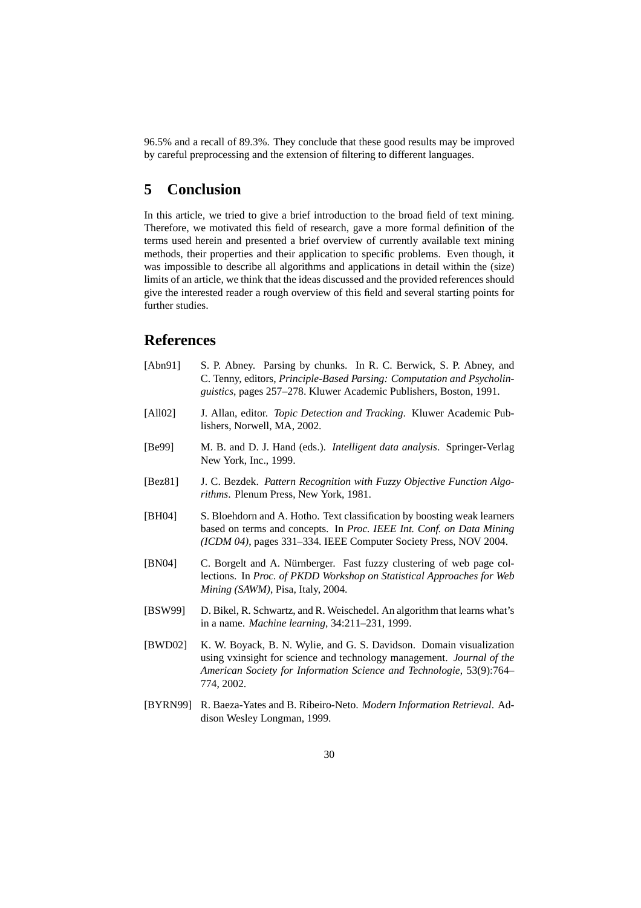96.5% and a recall of 89.3%. They conclude that these good results may be improved by careful preprocessing and the extension of filtering to different languages.

## **5 Conclusion**

In this article, we tried to give a brief introduction to the broad field of text mining. Therefore, we motivated this field of research, gave a more formal definition of the terms used herein and presented a brief overview of currently available text mining methods, their properties and their application to specific problems. Even though, it was impossible to describe all algorithms and applications in detail within the (size) limits of an article, we think that the ideas discussed and the provided references should give the interested reader a rough overview of this field and several starting points for further studies.

## **References**

- [Abn91] S. P. Abney. Parsing by chunks. In R. C. Berwick, S. P. Abney, and C. Tenny, editors, *Principle-Based Parsing: Computation and Psycholinguistics*, pages 257–278. Kluwer Academic Publishers, Boston, 1991.
- [All02] J. Allan, editor. *Topic Detection and Tracking*. Kluwer Academic Publishers, Norwell, MA, 2002.
- [Be99] M. B. and D. J. Hand (eds.). *Intelligent data analysis*. Springer-Verlag New York, Inc., 1999.
- [Bez81] J. C. Bezdek. *Pattern Recognition with Fuzzy Objective Function Algorithms*. Plenum Press, New York, 1981.
- [BH04] S. Bloehdorn and A. Hotho. Text classification by boosting weak learners based on terms and concepts. In *Proc. IEEE Int. Conf. on Data Mining (ICDM 04)*, pages 331–334. IEEE Computer Society Press, NOV 2004.
- [BN04] C. Borgelt and A. Nürnberger. Fast fuzzy clustering of web page collections. In *Proc. of PKDD Workshop on Statistical Approaches for Web Mining (SAWM)*, Pisa, Italy, 2004.
- [BSW99] D. Bikel, R. Schwartz, and R. Weischedel. An algorithm that learns what's in a name. *Machine learning*, 34:211–231, 1999.
- [BWD02] K. W. Boyack, B. N. Wylie, and G. S. Davidson. Domain visualization using vxinsight for science and technology management. *Journal of the American Society for Information Science and Technologie*, 53(9):764– 774, 2002.
- [BYRN99] R. Baeza-Yates and B. Ribeiro-Neto. *Modern Information Retrieval*. Addison Wesley Longman, 1999.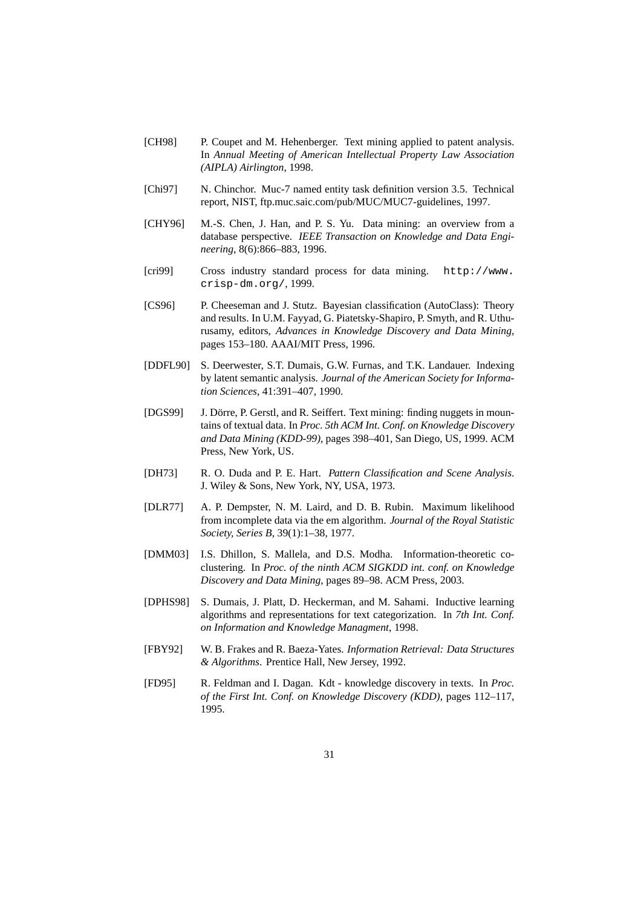- [CH98] P. Coupet and M. Hehenberger. Text mining applied to patent analysis. In *Annual Meeting of American Intellectual Property Law Association (AIPLA) Airlington*, 1998.
- [Chi97] N. Chinchor. Muc-7 named entity task definition version 3.5. Technical report, NIST, ftp.muc.saic.com/pub/MUC/MUC7-guidelines, 1997.
- [CHY96] M.-S. Chen, J. Han, and P. S. Yu. Data mining: an overview from a database perspective. *IEEE Transaction on Knowledge and Data Engineering*, 8(6):866–883, 1996.
- [cri99] Cross industry standard process for data mining. http://www. crisp-dm.org/, 1999.
- [CS96] P. Cheeseman and J. Stutz. Bayesian classification (AutoClass): Theory and results. In U.M. Fayyad, G. Piatetsky-Shapiro, P. Smyth, and R. Uthurusamy, editors, *Advances in Knowledge Discovery and Data Mining*, pages 153–180. AAAI/MIT Press, 1996.
- [DDFL90] S. Deerwester, S.T. Dumais, G.W. Furnas, and T.K. Landauer. Indexing by latent semantic analysis. *Journal of the American Society for Information Sciences*, 41:391–407, 1990.
- [DGS99] J. Dörre, P. Gerstl, and R. Seiffert. Text mining: finding nuggets in mountains of textual data. In *Proc. 5th ACM Int. Conf. on Knowledge Discovery and Data Mining (KDD-99)*, pages 398–401, San Diego, US, 1999. ACM Press, New York, US.
- [DH73] R. O. Duda and P. E. Hart. *Pattern Classification and Scene Analysis*. J. Wiley & Sons, New York, NY, USA, 1973.
- [DLR77] A. P. Dempster, N. M. Laird, and D. B. Rubin. Maximum likelihood from incomplete data via the em algorithm. *Journal of the Royal Statistic Society, Series B*, 39(1):1–38, 1977.
- [DMM03] I.S. Dhillon, S. Mallela, and D.S. Modha. Information-theoretic coclustering. In *Proc. of the ninth ACM SIGKDD int. conf. on Knowledge Discovery and Data Mining*, pages 89–98. ACM Press, 2003.
- [DPHS98] S. Dumais, J. Platt, D. Heckerman, and M. Sahami. Inductive learning algorithms and representations for text categorization. In *7th Int. Conf. on Information and Knowledge Managment*, 1998.
- [FBY92] W. B. Frakes and R. Baeza-Yates. *Information Retrieval: Data Structures & Algorithms*. Prentice Hall, New Jersey, 1992.
- [FD95] R. Feldman and I. Dagan. Kdt knowledge discovery in texts. In *Proc. of the First Int. Conf. on Knowledge Discovery (KDD)*, pages 112–117, 1995.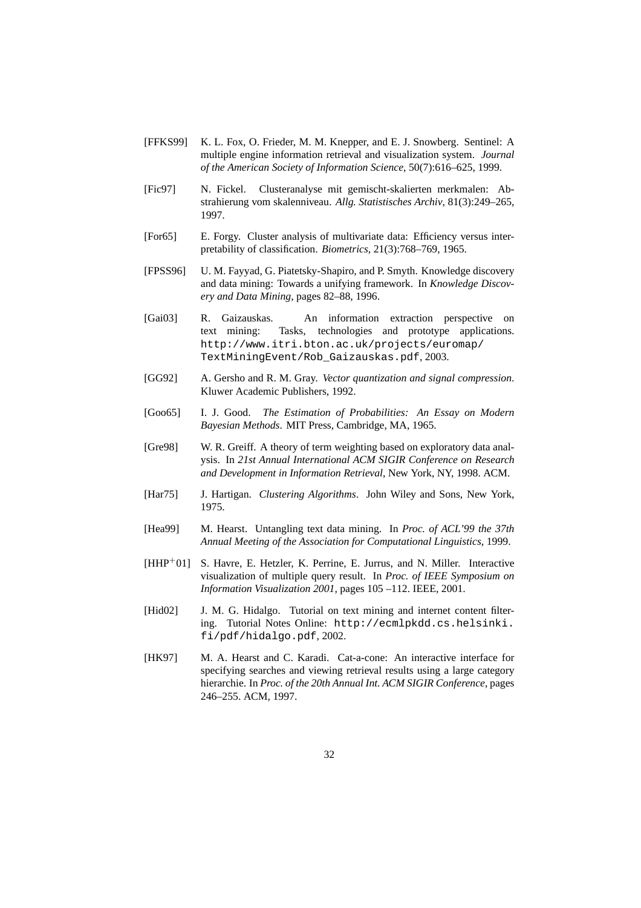- [FFKS99] K. L. Fox, O. Frieder, M. M. Knepper, and E. J. Snowberg. Sentinel: A multiple engine information retrieval and visualization system. *Journal of the American Society of Information Science*, 50(7):616–625, 1999.
- [Fic97] N. Fickel. Clusteranalyse mit gemischt-skalierten merkmalen: Abstrahierung vom skalenniveau. *Allg. Statistisches Archiv*, 81(3):249–265, 1997.
- [For65] E. Forgy. Cluster analysis of multivariate data: Efficiency versus interpretability of classification. *Biometrics*, 21(3):768–769, 1965.
- [FPSS96] U. M. Fayyad, G. Piatetsky-Shapiro, and P. Smyth. Knowledge discovery and data mining: Towards a unifying framework. In *Knowledge Discovery and Data Mining*, pages 82–88, 1996.
- [Gai03] R. Gaizauskas. An information extraction perspective on text mining: Tasks, technologies and prototype applications. http://www.itri.bton.ac.uk/projects/euromap/ TextMiningEvent/Rob\_Gaizauskas.pdf, 2003.
- [GG92] A. Gersho and R. M. Gray. *Vector quantization and signal compression*. Kluwer Academic Publishers, 1992.
- [Goo65] I. J. Good. *The Estimation of Probabilities: An Essay on Modern Bayesian Methods*. MIT Press, Cambridge, MA, 1965.
- [Gre98] W. R. Greiff. A theory of term weighting based on exploratory data analysis. In *21st Annual International ACM SIGIR Conference on Research and Development in Information Retrieval*, New York, NY, 1998. ACM.
- [Har75] J. Hartigan. *Clustering Algorithms*. John Wiley and Sons, New York, 1975.
- [Hea99] M. Hearst. Untangling text data mining. In *Proc. of ACL'99 the 37th Annual Meeting of the Association for Computational Linguistics*, 1999.
- [HHP<sup>+</sup>01] S. Havre, E. Hetzler, K. Perrine, E. Jurrus, and N. Miller. Interactive visualization of multiple query result. In *Proc. of IEEE Symposium on Information Visualization 2001*, pages 105 –112. IEEE, 2001.
- [Hid02] J. M. G. Hidalgo. Tutorial on text mining and internet content filtering. Tutorial Notes Online: http://ecmlpkdd.cs.helsinki. fi/pdf/hidalgo.pdf, 2002.
- [HK97] M. A. Hearst and C. Karadi. Cat-a-cone: An interactive interface for specifying searches and viewing retrieval results using a large category hierarchie. In *Proc. of the 20th Annual Int. ACM SIGIR Conference*, pages 246–255. ACM, 1997.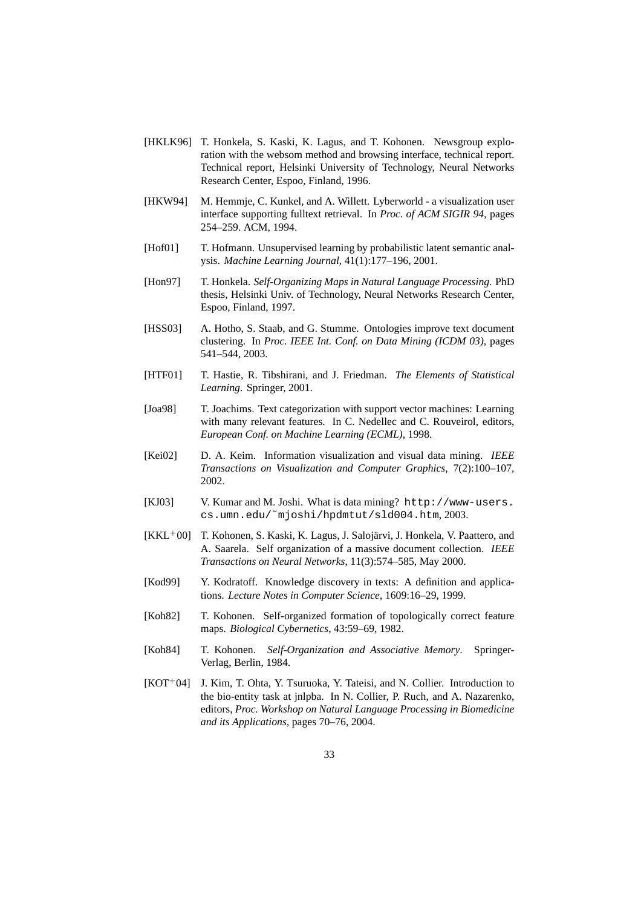- [HKLK96] T. Honkela, S. Kaski, K. Lagus, and T. Kohonen. Newsgroup exploration with the websom method and browsing interface, technical report. Technical report, Helsinki University of Technology, Neural Networks Research Center, Espoo, Finland, 1996.
- [HKW94] M. Hemmje, C. Kunkel, and A. Willett. Lyberworld a visualization user interface supporting fulltext retrieval. In *Proc. of ACM SIGIR 94*, pages 254–259. ACM, 1994.
- [Hof01] T. Hofmann. Unsupervised learning by probabilistic latent semantic analysis. *Machine Learning Journal*, 41(1):177–196, 2001.
- [Hon97] T. Honkela. *Self-Organizing Maps in Natural Language Processing*. PhD thesis, Helsinki Univ. of Technology, Neural Networks Research Center, Espoo, Finland, 1997.
- [HSS03] A. Hotho, S. Staab, and G. Stumme. Ontologies improve text document clustering. In *Proc. IEEE Int. Conf. on Data Mining (ICDM 03)*, pages 541–544, 2003.
- [HTF01] T. Hastie, R. Tibshirani, and J. Friedman. *The Elements of Statistical Learning*. Springer, 2001.
- [Joa98] T. Joachims. Text categorization with support vector machines: Learning with many relevant features. In C. Nedellec and C. Rouveirol, editors, *European Conf. on Machine Learning (ECML)*, 1998.
- [Kei02] D. A. Keim. Information visualization and visual data mining. *IEEE Transactions on Visualization and Computer Graphics*, 7(2):100–107, 2002.
- [KJ03] V. Kumar and M. Joshi. What is data mining? http://www-users. cs.umn.edu/˜mjoshi/hpdmtut/sld004.htm, 2003.
- [KKL<sup>+</sup>00] T. Kohonen, S. Kaski, K. Lagus, J. Salojärvi, J. Honkela, V. Paattero, and A. Saarela. Self organization of a massive document collection. *IEEE Transactions on Neural Networks*, 11(3):574–585, May 2000.
- [Kod99] Y. Kodratoff. Knowledge discovery in texts: A definition and applications. *Lecture Notes in Computer Science*, 1609:16–29, 1999.
- [Koh82] T. Kohonen. Self-organized formation of topologically correct feature maps. *Biological Cybernetics*, 43:59–69, 1982.
- [Koh84] T. Kohonen. *Self-Organization and Associative Memory*. Springer-Verlag, Berlin, 1984.
- [KOT<sup>+</sup>04] J. Kim, T. Ohta, Y. Tsuruoka, Y. Tateisi, and N. Collier. Introduction to the bio-entity task at jnlpba. In N. Collier, P. Ruch, and A. Nazarenko, editors, *Proc. Workshop on Natural Language Processing in Biomedicine and its Applications*, pages 70–76, 2004.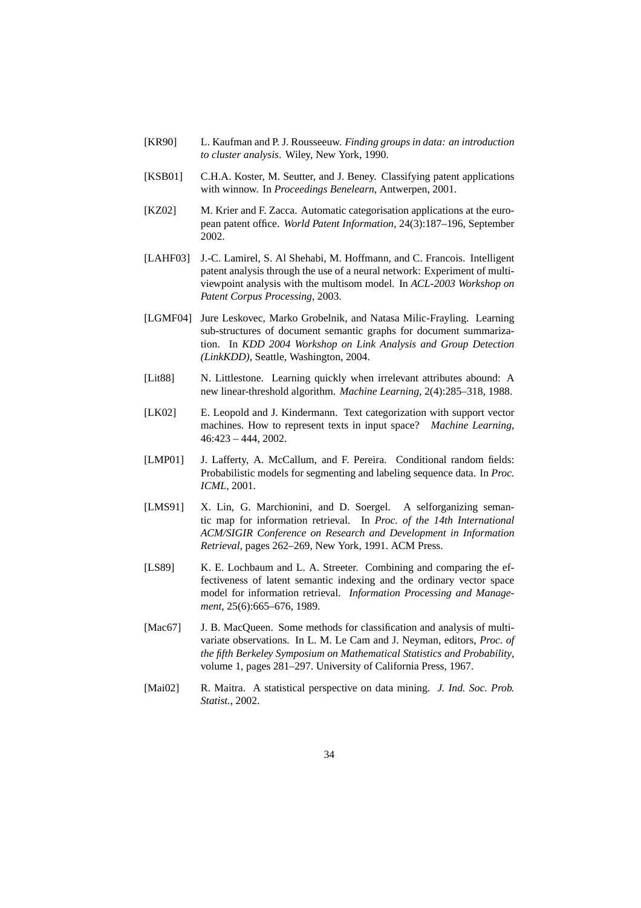- [KR90] L. Kaufman and P. J. Rousseeuw. *Finding groups in data: an introduction to cluster analysis*. Wiley, New York, 1990.
- [KSB01] C.H.A. Koster, M. Seutter, and J. Beney. Classifying patent applications with winnow. In *Proceedings Benelearn*, Antwerpen, 2001.
- [KZ02] M. Krier and F. Zacca. Automatic categorisation applications at the european patent office. *World Patent Information*, 24(3):187–196, September 2002.
- [LAHF03] J.-C. Lamirel, S. Al Shehabi, M. Hoffmann, and C. Francois. Intelligent patent analysis through the use of a neural network: Experiment of multiviewpoint analysis with the multisom model. In *ACL-2003 Workshop on Patent Corpus Processing*, 2003.
- [LGMF04] Jure Leskovec, Marko Grobelnik, and Natasa Milic-Frayling. Learning sub-structures of document semantic graphs for document summarization. In *KDD 2004 Workshop on Link Analysis and Group Detection (LinkKDD)*, Seattle, Washington, 2004.
- [Lit88] N. Littlestone. Learning quickly when irrelevant attributes abound: A new linear-threshold algorithm. *Machine Learning*, 2(4):285–318, 1988.
- [LK02] E. Leopold and J. Kindermann. Text categorization with support vector machines. How to represent texts in input space? *Machine Learning*, 46:423 – 444, 2002.
- [LMP01] J. Lafferty, A. McCallum, and F. Pereira. Conditional random fields: Probabilistic models for segmenting and labeling sequence data. In *Proc. ICML*, 2001.
- [LMS91] X. Lin, G. Marchionini, and D. Soergel. A selforganizing semantic map for information retrieval. In *Proc. of the 14th International ACM/SIGIR Conference on Research and Development in Information Retrieval*, pages 262–269, New York, 1991. ACM Press.
- [LS89] K. E. Lochbaum and L. A. Streeter. Combining and comparing the effectiveness of latent semantic indexing and the ordinary vector space model for information retrieval. *Information Processing and Management*, 25(6):665–676, 1989.
- [Mac67] J. B. MacQueen. Some methods for classification and analysis of multivariate observations. In L. M. Le Cam and J. Neyman, editors, *Proc. of the fifth Berkeley Symposium on Mathematical Statistics and Probability*, volume 1, pages 281–297. University of California Press, 1967.
- [Mai02] R. Maitra. A statistical perspective on data mining. *J. Ind. Soc. Prob. Statist.*, 2002.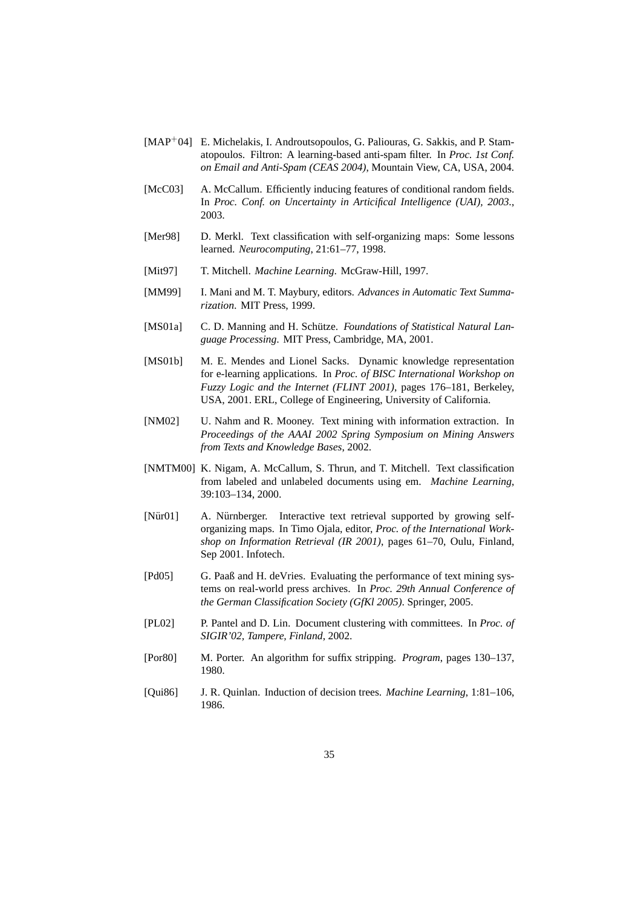- [MAP<sup>+</sup>04] E. Michelakis, I. Androutsopoulos, G. Paliouras, G. Sakkis, and P. Stamatopoulos. Filtron: A learning-based anti-spam filter. In *Proc. 1st Conf. on Email and Anti-Spam (CEAS 2004)*, Mountain View, CA, USA, 2004.
- [McC03] A. McCallum. Efficiently inducing features of conditional random fields. In *Proc. Conf. on Uncertainty in Articifical Intelligence (UAI), 2003.*, 2003.
- [Mer98] D. Merkl. Text classification with self-organizing maps: Some lessons learned. *Neurocomputing*, 21:61–77, 1998.
- [Mit97] T. Mitchell. *Machine Learning*. McGraw-Hill, 1997.
- [MM99] I. Mani and M. T. Maybury, editors. *Advances in Automatic Text Summarization*. MIT Press, 1999.
- [MS01a] C. D. Manning and H. Schütze. *Foundations of Statistical Natural Language Processing*. MIT Press, Cambridge, MA, 2001.
- [MS01b] M. E. Mendes and Lionel Sacks. Dynamic knowledge representation for e-learning applications. In *Proc. of BISC International Workshop on Fuzzy Logic and the Internet (FLINT 2001)*, pages 176–181, Berkeley, USA, 2001. ERL, College of Engineering, University of California.
- [NM02] U. Nahm and R. Mooney. Text mining with information extraction. In *Proceedings of the AAAI 2002 Spring Symposium on Mining Answers from Texts and Knowledge Bases*, 2002.
- [NMTM00] K. Nigam, A. McCallum, S. Thrun, and T. Mitchell. Text classification from labeled and unlabeled documents using em. *Machine Learning*, 39:103–134, 2000.
- [Nür01] A. Nürnberger. Interactive text retrieval supported by growing selforganizing maps. In Timo Ojala, editor, *Proc. of the International Workshop on Information Retrieval (IR 2001)*, pages 61–70, Oulu, Finland, Sep 2001. Infotech.
- [Pd05] G. Paaß and H. deVries. Evaluating the performance of text mining systems on real-world press archives. In *Proc. 29th Annual Conference of the German Classification Society (GfKl 2005)*. Springer, 2005.
- [PL02] P. Pantel and D. Lin. Document clustering with committees. In *Proc. of SIGIR'02, Tampere, Finland*, 2002.
- [Por80] M. Porter. An algorithm for suffix stripping. *Program*, pages 130–137, 1980.
- [Qui86] J. R. Quinlan. Induction of decision trees. *Machine Learning*, 1:81–106, 1986.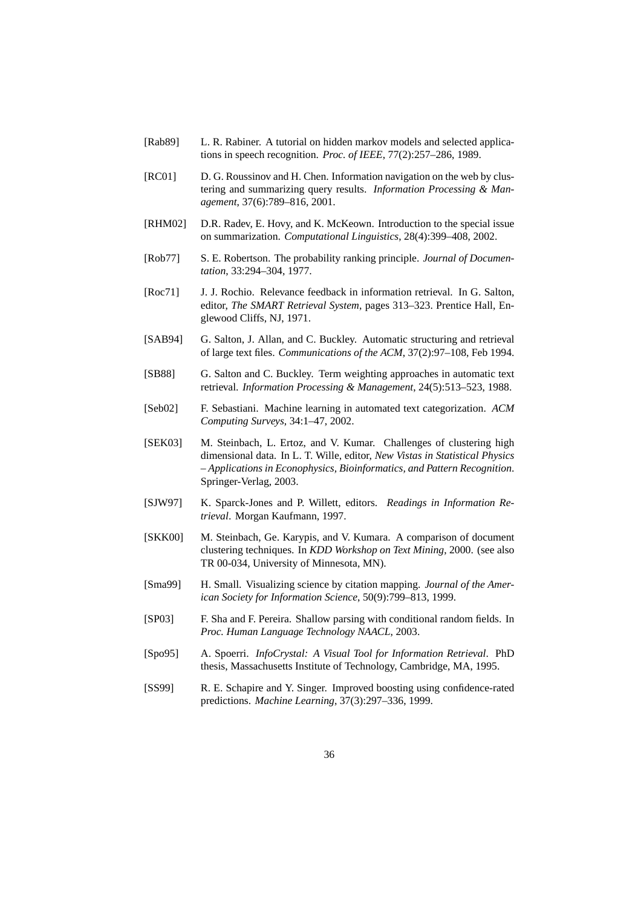- [Rab89] L. R. Rabiner. A tutorial on hidden markov models and selected applications in speech recognition. *Proc. of IEEE*, 77(2):257–286, 1989.
- [RC01] D. G. Roussinov and H. Chen. Information navigation on the web by clustering and summarizing query results. *Information Processing & Management*, 37(6):789–816, 2001.
- [RHM02] D.R. Radev, E. Hovy, and K. McKeown. Introduction to the special issue on summarization. *Computational Linguistics*, 28(4):399–408, 2002.
- [Rob77] S. E. Robertson. The probability ranking principle. *Journal of Documentation*, 33:294–304, 1977.
- [Roc71] J. J. Rochio. Relevance feedback in information retrieval. In G. Salton, editor, *The SMART Retrieval System*, pages 313–323. Prentice Hall, Englewood Cliffs, NJ, 1971.
- [SAB94] G. Salton, J. Allan, and C. Buckley. Automatic structuring and retrieval of large text files. *Communications of the ACM*, 37(2):97–108, Feb 1994.
- [SB88] G. Salton and C. Buckley. Term weighting approaches in automatic text retrieval. *Information Processing & Management*, 24(5):513–523, 1988.
- [Seb02] F. Sebastiani. Machine learning in automated text categorization. *ACM Computing Surveys*, 34:1–47, 2002.
- [SEK03] M. Steinbach, L. Ertoz, and V. Kumar. Challenges of clustering high dimensional data. In L. T. Wille, editor, *New Vistas in Statistical Physics – Applications in Econophysics, Bioinformatics, and Pattern Recognition*. Springer-Verlag, 2003.
- [SJW97] K. Sparck-Jones and P. Willett, editors. *Readings in Information Retrieval*. Morgan Kaufmann, 1997.
- [SKK00] M. Steinbach, Ge. Karypis, and V. Kumara. A comparison of document clustering techniques. In *KDD Workshop on Text Mining*, 2000. (see also TR 00-034, University of Minnesota, MN).
- [Sma99] H. Small. Visualizing science by citation mapping. *Journal of the American Society for Information Science*, 50(9):799–813, 1999.
- [SP03] F. Sha and F. Pereira. Shallow parsing with conditional random fields. In *Proc. Human Language Technology NAACL*, 2003.
- [Spo95] A. Spoerri. *InfoCrystal: A Visual Tool for Information Retrieval*. PhD thesis, Massachusetts Institute of Technology, Cambridge, MA, 1995.
- [SS99] R. E. Schapire and Y. Singer. Improved boosting using confidence-rated predictions. *Machine Learning*, 37(3):297–336, 1999.